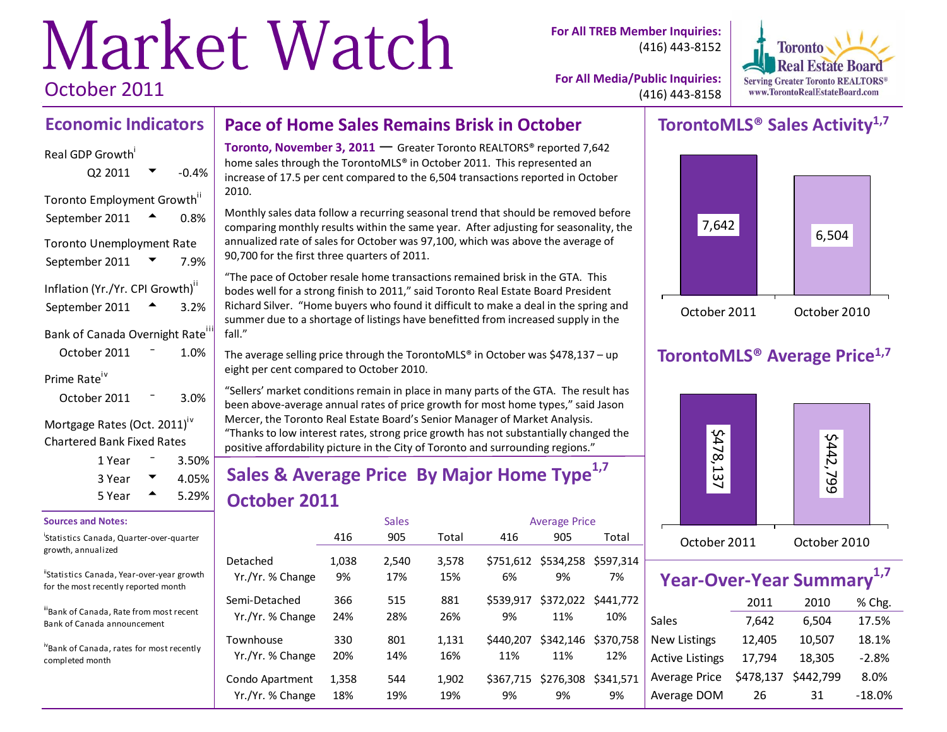# Market Watch October 2011

**For All TREB Member Inquiries:** (416) 443-8152



**For All Media/Public Inquiries:** (416) 443-8158

### **Economic Indicators Pace of Home Sales Remains Brisk in October**

### Real GDP Growth<sup>i</sup>

| Q2 2011                          | $-0.4%$ |
|----------------------------------|---------|
| Toronto Employment Growth"       |         |
| September 2011                   | 0.8%    |
| <b>Toronto Unemployment Rate</b> |         |
| September 2011                   | 7.9%    |
| Inflation (Yr./Yr. CPI Growth)"  |         |
| September 2011                   | 3.2%    |
| Bank of Canada Overnight Rate    |         |
| October 2011                     | 1.0%    |
| Prime Rate                       |         |
| October 2011                     | 3.0%    |

### Mortgage Rates (Oct. 2011)<sup>iv</sup> Chartered Bank Fixed Rates

| 1 Year | $3.50\%$ |
|--------|----------|
| 3 Year | $4.05\%$ |
| 5 Year | 5.29%    |

### **Sources and Notes:**

i Statistics Canada, Quarter-over-quarter growth, annualized

<sup>ii</sup>Statistics Canada, Year-over-year growth for the most recently reported month

iii<br>Bank of Canada, Rate from most recent Bank of Canada announcement

ivBank of Canada, rates for most recently completed month

**Toronto, November 3, 2011 — Greater Toronto REALTORS® reported 7,642** home sales through the TorontoMLS® in October 2011. This represented an increase of 17.5 per cent compared to the 6,504 transactions reported in October 2010.

Monthly sales data follow a recurring seasonal trend that should be removed before comparing monthly results within the same year. After adjusting for seasonality, the annualized rate of sales for October was 97,100, which was above the average of 90,700 for the first three quarters of 2011.

"The pace of October resale home transactions remained brisk in the GTA. This bodes well for a strong finish to 2011," said Toronto Real Estate Board President Richard Silver. "Home buyers who found it difficult to make a deal in the spring and summer due to a shortage of listings have benefitted from increased supply in the fall."

The average selling price through the TorontoMLS<sup>®</sup> in October was \$478,137 – up eight per cent compared to October 2010.

"Sellers' market conditions remain in place in many parts of the GTA. The result has been above-average annual rates of price growth for most home types," said Jason Mercer, the Toronto Real Estate Board's Senior Manager of Market Analysis. "Thanks to low interest rates, strong price growth has not substantially changed the positive affordability picture in the City of Toronto and surrounding regions."

# **Sales & Average Price By Major Home Type1,7 October 2011**

|                  |       | <b>Sales</b> |       | <b>Average Price</b> |                     |           |  |  |
|------------------|-------|--------------|-------|----------------------|---------------------|-----------|--|--|
|                  | 416   | 905          | Total | 416                  | 905                 | Total     |  |  |
| Detached         | 1,038 | 2,540        | 3,578 | 6%                   | \$751,612 \$534,258 | \$597.314 |  |  |
| Yr./Yr. % Change | 9%    | 17%          | 15%   |                      | 9%                  | 7%        |  |  |
| Semi-Detached    | 366   | 515          | 881   | \$539.917            | \$372,022 \$441,772 | 10%       |  |  |
| Yr./Yr. % Change | 24%   | 28%          | 26%   | 9%                   | 11%                 |           |  |  |
| Townhouse        | 330   | 801          | 1,131 | \$440.207            | \$342,146           | \$370.758 |  |  |
| Yr./Yr. % Change | 20%   | 14%          | 16%   | 11%                  | 11%                 | 12%       |  |  |
| Condo Apartment  | 1,358 | 544          | 1,902 | \$367,715            | \$276,308           | \$341.571 |  |  |
| Yr./Yr. % Change | 18%   | 19%          | 19%   | 9%                   | 9%                  | 9%        |  |  |

## **TorontoMLS® Sales Activity1,7**



# **TorontoMLS® Average Price1,7**



| Year-Over-Year Summary <sup>1,7</sup> |           |           |         |  |  |  |  |  |  |  |  |
|---------------------------------------|-----------|-----------|---------|--|--|--|--|--|--|--|--|
|                                       | 2011      | 2010      | % Chg.  |  |  |  |  |  |  |  |  |
| <b>Sales</b>                          | 7,642     | 6,504     | 17.5%   |  |  |  |  |  |  |  |  |
| <b>New Listings</b>                   | 12,405    | 10,507    | 18.1%   |  |  |  |  |  |  |  |  |
| <b>Active Listings</b>                | 17,794    | 18,305    | $-2.8%$ |  |  |  |  |  |  |  |  |
| Average Price                         | \$478,137 | \$442,799 | 8.0%    |  |  |  |  |  |  |  |  |

Average DOM 26 31 -18.0%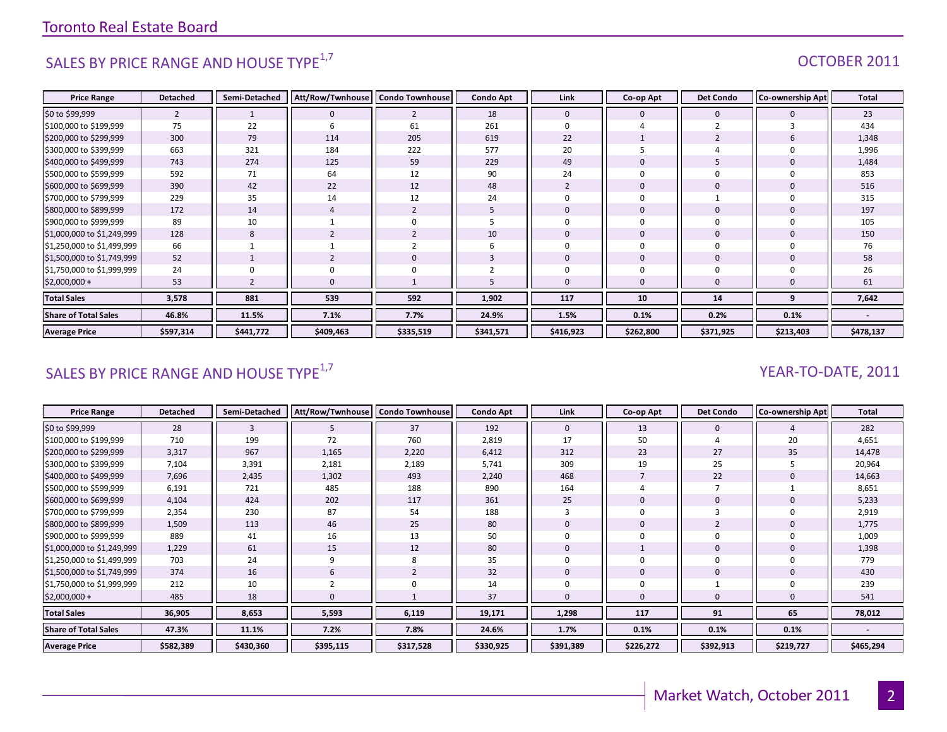# SALES BY PRICE RANGE AND HOUSE TYPE $^{1,7}$  OCTOBER 2011

| <b>Price Range</b>          | <b>Detached</b> | Semi-Detached | Att/Row/Twnhouse | <b>Condo Townhouse</b> | <b>Condo Apt</b> | Link           | Co-op Apt      | <b>Det Condo</b> | Co-ownership Apt | <b>Total</b> |
|-----------------------------|-----------------|---------------|------------------|------------------------|------------------|----------------|----------------|------------------|------------------|--------------|
| \$0 to \$99,999             | $\overline{2}$  |               | $\mathbf 0$      | $\overline{2}$         | 18               | $\mathbf 0$    | $\mathbf 0$    | $\mathbf 0$      |                  | 23           |
| \$100,000 to \$199,999      | 75              | 22            | h                | 61                     | 261              | $\Omega$       |                |                  |                  | 434          |
| \$200,000 to \$299,999      | 300             | 79            | 114              | 205                    | 619              | 22             |                |                  |                  | 1,348        |
| \$300,000 to \$399,999      | 663             | 321           | 184              | 222                    | 577              | 20             |                |                  |                  | 1,996        |
| \$400,000 to \$499,999      | 743             | 274           | 125              | 59                     | 229              | 49             | $\Omega$       |                  |                  | 1,484        |
| \$500,000 to \$599,999      | 592             | 71            | 64               | 12                     | 90               | 24             | $\Omega$       |                  |                  | 853          |
| \$600,000 to \$699,999      | 390             | 42            | 22               | 12                     | 48               | $\overline{2}$ | $\overline{0}$ | $\mathbf 0$      |                  | 516          |
| \$700,000 to \$799,999      | 229             | 35            | 14               | 12                     | 24               | $\Omega$       | $\Omega$       |                  |                  | 315          |
| \$800,000 to \$899,999      | 172             | 14            |                  | $\overline{2}$         |                  | $\mathbf 0$    | $\mathbf 0$    | $\mathbf 0$      |                  | 197          |
| \$900,000 to \$999,999      | 89              | 10            |                  | 0                      |                  | $\Omega$       | $\Omega$       |                  |                  | 105          |
| \$1,000,000 to \$1,249,999  | 128             | 8             |                  | $\overline{2}$         | 10               | $\mathbf{0}$   | $\Omega$       | $\Omega$         |                  | 150          |
| \$1,250,000 to \$1,499,999  | 66              |               |                  | $\overline{2}$         | b                | $\Omega$       | $\Omega$       | $\Omega$         |                  | 76           |
| \$1,500,000 to \$1,749,999  | 52              |               |                  | $\mathbf 0$            |                  | $\mathbf{0}$   | $\mathbf{0}$   | $\Omega$         |                  | 58           |
| \$1,750,000 to \$1,999,999  | 24              |               |                  | 0                      |                  | $\Omega$       | $\Omega$       |                  |                  | 26           |
| \$2,000,000 +               | 53              |               |                  |                        |                  | $\Omega$       | $\Omega$       |                  |                  | 61           |
| <b>Total Sales</b>          | 3,578           | 881           | 539              | 592                    | 1,902            | 117            | 10             | 14               | q                | 7,642        |
| <b>Share of Total Sales</b> | 46.8%           | 11.5%         | 7.1%             | 7.7%                   | 24.9%            | 1.5%           | 0.1%           | 0.2%             | 0.1%             |              |
| <b>Average Price</b>        | \$597,314       | \$441,772     | \$409,463        | \$335,519              | \$341,571        | \$416,923      | \$262,800      | \$371,925        | \$213,403        | \$478,137    |

# SALES BY PRICE RANGE AND HOUSE TYPE<sup>1,7</sup>  $\sqrt{2}$  and  $\sqrt{2}$  and  $\sqrt{2}$  and  $\sqrt{2}$  and  $\sqrt{2}$  and  $\sqrt{2}$  and  $\sqrt{2}$  and  $\sqrt{2}$  and  $\sqrt{2}$  and  $\sqrt{2}$  and  $\sqrt{2}$  and  $\sqrt{2}$  and  $\sqrt{2}$  and  $\sqrt{2}$  and  $\sqrt{2}$  and

| <b>Price Range</b>          | <b>Detached</b> | Semi-Detached | Att/Row/Twnhouse | <b>Condo Townhouse</b> | <b>Condo Apt</b> | Link         | Co-op Apt | <b>Det Condo</b> | <b>Co-ownership Apt</b> | <b>Total</b> |
|-----------------------------|-----------------|---------------|------------------|------------------------|------------------|--------------|-----------|------------------|-------------------------|--------------|
| \$0 to \$99,999             | 28              | 3             | b.               | 37                     | 192              | $\mathbf{0}$ | 13        | $\mathbf 0$      |                         | 282          |
| \$100,000 to \$199,999      | 710             | 199           | 72               | 760                    | 2,819            | 17           | 50        |                  | 20                      | 4,651        |
| \$200,000 to \$299,999      | 3,317           | 967           | 1,165            | 2,220                  | 6,412            | 312          | 23        | 27               | 35                      | 14,478       |
| \$300,000 to \$399,999      | 7,104           | 3,391         | 2,181            | 2,189                  | 5,741            | 309          | 19        | 25               |                         | 20,964       |
| \$400,000 to \$499,999      | 7,696           | 2,435         | 1,302            | 493                    | 2,240            | 468          |           | 22               |                         | 14,663       |
| \$500,000 to \$599,999      | 6,191           | 721           | 485              | 188                    | 890              | 164          |           |                  |                         | 8,651        |
| \$600,000 to \$699,999      | 4,104           | 424           | 202              | 117                    | 361              | 25           |           | 0                |                         | 5,233        |
| \$700,000 to \$799,999      | 2,354           | 230           | 87               | 54                     | 188              |              |           |                  |                         | 2,919        |
| \$800,000 to \$899,999      | 1,509           | 113           | 46               | 25                     | 80               | 0            | 0         |                  |                         | 1,775        |
| \$900,000 to \$999,999      | 889             | 41            | 16               | 13                     | 50               |              |           | 0                |                         | 1,009        |
| \$1,000,000 to \$1,249,999  | 1,229           | 61            | 15               | 12                     | 80               |              |           | 0                |                         | 1,398        |
| \$1,250,000 to \$1,499,999  | 703             | 24            | q                | 8                      | 35               |              | $\Omega$  | $\mathbf 0$      |                         | 779          |
| \$1,500,000 to \$1,749,999  | 374             | 16            | 6                |                        | 32               |              |           | $\mathbf 0$      |                         | 430          |
| \$1,750,000 to \$1,999,999  | 212             | 10            |                  | $\Omega$               | 14               |              |           |                  |                         | 239          |
| $$2,000,000 +$              | 485             | 18            |                  |                        | 37               |              |           | 0                |                         | 541          |
| <b>Total Sales</b>          | 36,905          | 8,653         | 5,593            | 6,119                  | 19,171           | 1,298        | 117       | 91               | 65                      | 78,012       |
| <b>Share of Total Sales</b> | 47.3%           | 11.1%         | 7.2%             | 7.8%                   | 24.6%            | 1.7%         | 0.1%      | 0.1%             | 0.1%                    |              |
| <b>Average Price</b>        | \$582,389       | \$430,360     | \$395,115        | \$317,528              | \$330,925        | \$391,389    | \$226,272 | \$392,913        | \$219,727               | \$465,294    |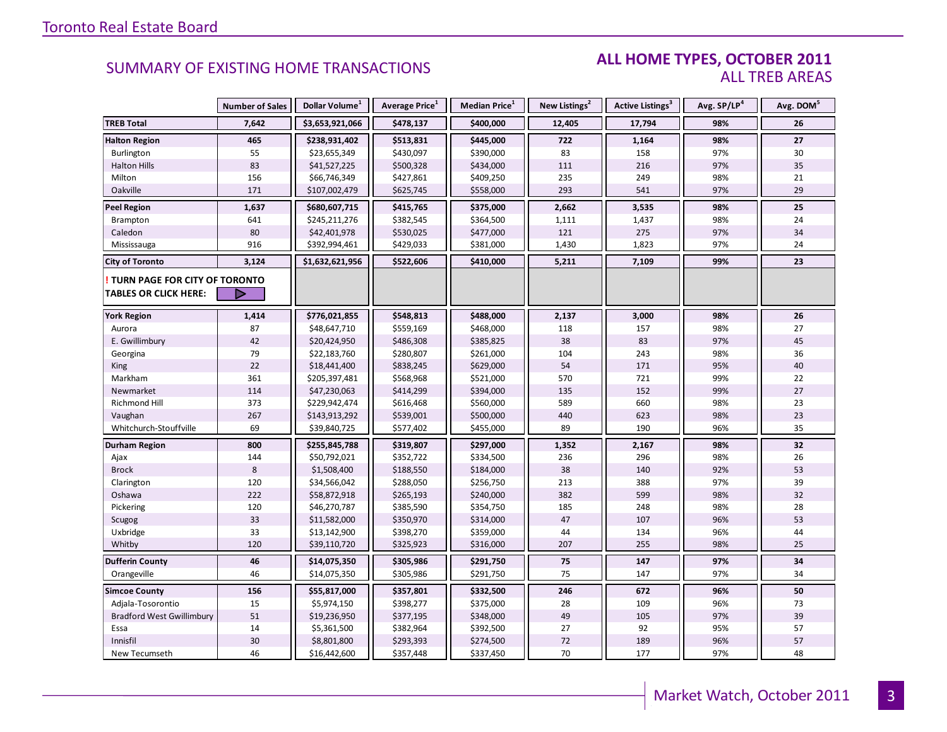### **ALL HOME TYPES, OCTOBER 2011** ALL TREB AREAS

|                                                               | <b>Number of Sales</b> | Dollar Volume <sup>1</sup> | Average Price <sup>1</sup> | Median Price <sup>1</sup> | New Listings <sup>2</sup> | Active Listings <sup>3</sup> | Avg. SP/LP <sup>4</sup> | Avg. DOM <sup>5</sup> |
|---------------------------------------------------------------|------------------------|----------------------------|----------------------------|---------------------------|---------------------------|------------------------------|-------------------------|-----------------------|
| <b>TREB Total</b>                                             | 7,642                  | \$3,653,921,066            | \$478,137                  | \$400,000                 | 12,405                    | 17,794                       | 98%                     | 26                    |
| <b>Halton Region</b>                                          | 465                    | \$238,931,402              | \$513,831                  | \$445,000                 | 722                       | 1,164                        | 98%                     | 27                    |
| <b>Burlington</b>                                             | 55                     | \$23,655,349               | \$430,097                  | \$390,000                 | 83                        | 158                          | 97%                     | 30                    |
| <b>Halton Hills</b>                                           | 83                     | \$41,527,225               | \$500,328                  | \$434,000                 | 111                       | 216                          | 97%                     | 35                    |
| Milton                                                        | 156                    | \$66,746,349               | \$427,861                  | \$409,250                 | 235                       | 249                          | 98%                     | 21                    |
| Oakville                                                      | 171                    | \$107,002,479              | \$625,745                  | \$558,000                 | 293                       | 541                          | 97%                     | 29                    |
| <b>Peel Region</b>                                            | 1,637                  | \$680,607,715              | \$415,765                  | \$375,000                 | 2,662                     | 3,535                        | 98%                     | 25                    |
| Brampton                                                      | 641                    | \$245,211,276              | \$382,545                  | \$364,500                 | 1,111                     | 1,437                        | 98%                     | 24                    |
| Caledon                                                       | 80                     | \$42,401,978               | \$530,025                  | \$477,000                 | 121                       | 275                          | 97%                     | 34                    |
| Mississauga                                                   | 916                    | \$392,994,461              | \$429,033                  | \$381,000                 | 1,430                     | 1,823                        | 97%                     | 24                    |
| <b>City of Toronto</b>                                        | 3,124                  | \$1,632,621,956            | \$522,606                  | \$410,000                 | 5,211                     | 7,109                        | 99%                     | 23                    |
| TURN PAGE FOR CITY OF TORONTO<br><b>TABLES OR CLICK HERE:</b> | ▶                      |                            |                            |                           |                           |                              |                         |                       |
|                                                               |                        |                            |                            |                           |                           |                              |                         |                       |
| <b>York Region</b>                                            | 1,414                  | \$776,021,855              | \$548,813                  | \$488,000                 | 2,137                     | 3,000                        | 98%                     | 26                    |
| Aurora                                                        | 87                     | \$48,647,710               | \$559,169                  | \$468,000                 | 118                       | 157                          | 98%                     | 27                    |
| E. Gwillimbury                                                | 42                     | \$20,424,950               | \$486,308                  | \$385,825                 | 38                        | 83                           | 97%                     | 45                    |
| Georgina                                                      | 79                     | \$22,183,760               | \$280,807                  | \$261,000                 | 104                       | 243                          | 98%                     | 36                    |
| King                                                          | 22                     | \$18,441,400               | \$838,245                  | \$629,000                 | 54                        | 171                          | 95%                     | 40                    |
| Markham                                                       | 361                    | \$205,397,481              | \$568,968                  | \$521,000                 | 570                       | 721                          | 99%                     | 22                    |
| Newmarket                                                     | 114                    | \$47,230,063               | \$414,299                  | \$394,000                 | 135                       | 152                          | 99%                     | 27                    |
| Richmond Hill                                                 | 373                    | \$229,942,474              | \$616,468                  | \$560,000                 | 589                       | 660                          | 98%                     | 23                    |
| Vaughan                                                       | 267                    | \$143,913,292              | \$539,001                  | \$500,000                 | 440                       | 623                          | 98%                     | 23                    |
| Whitchurch-Stouffville                                        | 69                     | \$39,840,725               | \$577,402                  | \$455,000                 | 89                        | 190                          | 96%                     | 35                    |
| Durham Region                                                 | 800                    | \$255,845,788              | \$319,807                  | \$297,000                 | 1,352                     | 2,167                        | 98%                     | 32                    |
| Ajax                                                          | 144                    | \$50,792,021               | \$352,722                  | \$334,500                 | 236                       | 296                          | 98%                     | 26                    |
| <b>Brock</b>                                                  | 8                      | \$1,508,400                | \$188,550                  | \$184,000                 | 38                        | 140                          | 92%                     | 53                    |
| Clarington                                                    | 120                    | \$34,566,042               | \$288,050                  | \$256,750                 | 213                       | 388                          | 97%                     | 39                    |
| Oshawa                                                        | 222                    | \$58,872,918               | \$265,193                  | \$240,000                 | 382                       | 599                          | 98%                     | 32                    |
| Pickering                                                     | 120                    | \$46,270,787               | \$385,590                  | \$354,750                 | 185                       | 248                          | 98%                     | 28                    |
| Scugog                                                        | 33                     | \$11,582,000               | \$350,970                  | \$314,000                 | 47                        | 107                          | 96%                     | 53                    |
| Uxbridge                                                      | 33                     | \$13,142,900               | \$398,270                  | \$359,000                 | 44                        | 134                          | 96%                     | 44                    |
| Whitby                                                        | 120                    | \$39,110,720               | \$325,923                  | \$316,000                 | 207                       | 255                          | 98%                     | 25                    |
| <b>Dufferin County</b>                                        | 46                     | \$14,075,350               | \$305,986                  | \$291,750                 | 75                        | 147                          | 97%                     | 34                    |
| Orangeville                                                   | 46                     | \$14,075,350               | \$305,986                  | \$291,750                 | 75                        | 147                          | 97%                     | 34                    |
| <b>Simcoe County</b>                                          | 156                    | \$55,817,000               | \$357,801                  | \$332,500                 | 246                       | 672                          | 96%                     | 50                    |
| Adjala-Tosorontio                                             | 15                     | \$5,974,150                | \$398,277                  | \$375,000                 | 28                        | 109                          | 96%                     | 73                    |
| <b>Bradford West Gwillimbury</b>                              | 51                     | \$19,236,950               | \$377,195                  | \$348,000                 | 49                        | 105                          | 97%                     | 39                    |
| Essa                                                          | 14                     | \$5,361,500                | \$382,964                  | \$392,500                 | 27                        | 92                           | 95%                     | 57                    |
| Innisfil                                                      | 30                     | \$8,801,800                | \$293,393                  | \$274,500                 | 72                        | 189                          | 96%                     | 57                    |
| New Tecumseth                                                 | 46                     | \$16,442,600               | \$357,448                  | \$337,450                 | 70                        | 177                          | 97%                     | 48                    |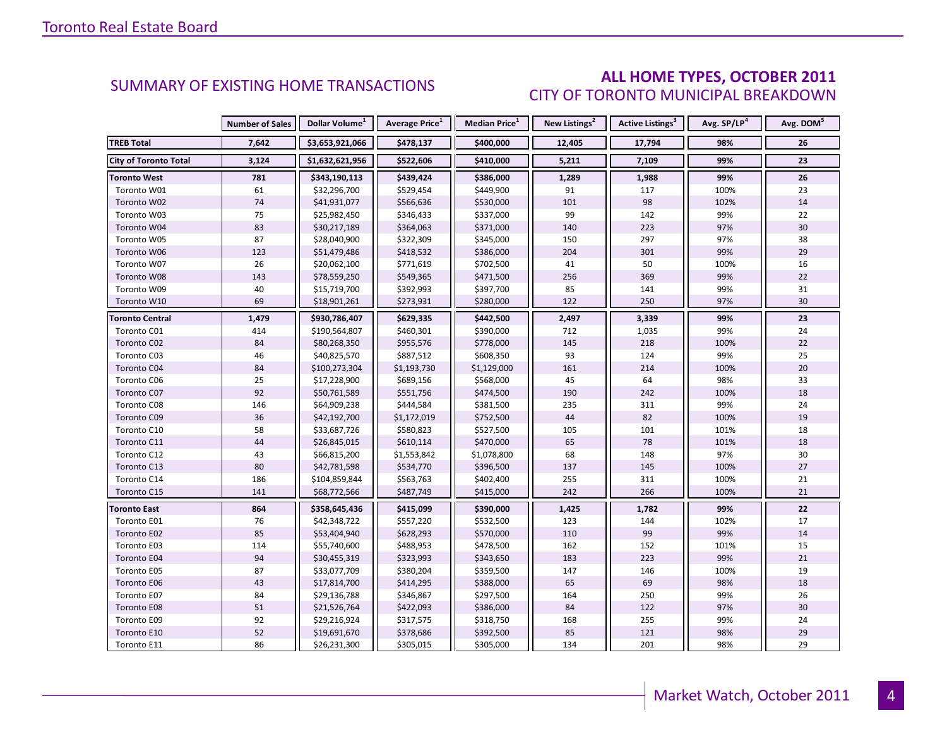### **ALL HOME TYPES, OCTOBER 2011** CITY OF TORONTO MUNICIPAL BREAKDOWN

|                              | <b>Number of Sales</b> | Dollar Volume <sup>1</sup> | Average Price <sup>1</sup> | Median Price <sup>1</sup> | New Listings <sup>2</sup> | Active Listings <sup>3</sup> | Avg. SP/LP <sup>4</sup> | Avg. DOM <sup>5</sup> |
|------------------------------|------------------------|----------------------------|----------------------------|---------------------------|---------------------------|------------------------------|-------------------------|-----------------------|
| <b>TREB Total</b>            | 7,642                  | \$3,653,921,066            | \$478,137                  | \$400,000                 | 12,405                    | 17,794                       | 98%                     | 26                    |
| <b>City of Toronto Total</b> | 3,124                  | \$1,632,621,956            | \$522,606                  | \$410,000                 | 5,211                     | 7,109                        | 99%                     | 23                    |
| <b>Toronto West</b>          | 781                    | \$343,190,113              | \$439,424                  | \$386,000                 | 1,289                     | 1,988                        | 99%                     | 26                    |
| Toronto W01                  | 61                     | \$32,296,700               | \$529,454                  | \$449,900                 | 91                        | 117                          | 100%                    | 23                    |
| Toronto W02                  | $74$                   | \$41,931,077               | \$566,636                  | \$530,000                 | 101                       | 98                           | 102%                    | 14                    |
| Toronto W03                  | 75                     | \$25,982,450               | \$346,433                  | \$337,000                 | 99                        | 142                          | 99%                     | 22                    |
| Toronto W04                  | 83                     | \$30,217,189               | \$364,063                  | \$371,000                 | 140                       | 223                          | 97%                     | 30                    |
| Toronto W05                  | 87                     | \$28,040,900               | \$322,309                  | \$345,000                 | 150                       | 297                          | 97%                     | 38                    |
| Toronto W06                  | 123                    | \$51,479,486               | \$418,532                  | \$386,000                 | 204                       | 301                          | 99%                     | 29                    |
| Toronto W07                  | 26                     | \$20,062,100               | \$771,619                  | \$702,500                 | 41                        | 50                           | 100%                    | 16                    |
| Toronto W08                  | 143                    | \$78,559,250               | \$549,365                  | \$471,500                 | 256                       | 369                          | 99%                     | 22                    |
| Toronto W09                  | 40                     | \$15,719,700               | \$392,993                  | \$397,700                 | 85                        | 141                          | 99%                     | 31                    |
| Toronto W10                  | 69                     | \$18,901,261               | \$273,931                  | \$280,000                 | 122                       | 250                          | 97%                     | 30                    |
| <b>Toronto Central</b>       | 1,479                  | \$930,786,407              | \$629,335                  | \$442,500                 | 2,497                     | 3,339                        | 99%                     | 23                    |
| Toronto C01                  | 414                    | \$190,564,807              | \$460,301                  | \$390,000                 | 712                       | 1,035                        | 99%                     | 24                    |
| Toronto C02                  | 84                     | \$80,268,350               | \$955,576                  | \$778,000                 | 145                       | 218                          | 100%                    | 22                    |
| Toronto C03                  | 46                     | \$40,825,570               | \$887,512                  | \$608,350                 | 93                        | 124                          | 99%                     | 25                    |
| Toronto C04                  | 84                     | \$100,273,304              | \$1,193,730                | \$1,129,000               | 161                       | 214                          | 100%                    | 20                    |
| Toronto C06                  | 25                     | \$17,228,900               | \$689,156                  | \$568,000                 | 45                        | 64                           | 98%                     | 33                    |
| Toronto C07                  | 92                     | \$50,761,589               | \$551,756                  | \$474,500                 | 190                       | 242                          | 100%                    | 18                    |
| Toronto C08                  | 146                    | \$64,909,238               | \$444,584                  | \$381,500                 | 235                       | 311                          | 99%                     | 24                    |
| Toronto C09                  | 36                     | \$42,192,700               | \$1,172,019                | \$752,500                 | 44                        | 82                           | 100%                    | 19                    |
| Toronto C10                  | 58                     | \$33,687,726               | \$580,823                  | \$527,500                 | 105                       | 101                          | 101%                    | 18                    |
| Toronto C11                  | 44                     | \$26,845,015               | \$610,114                  | \$470,000                 | 65                        | 78                           | 101%                    | 18                    |
| Toronto C12                  | 43                     | \$66,815,200               | \$1,553,842                | \$1,078,800               | 68                        | 148                          | 97%                     | 30                    |
| Toronto C13                  | 80                     | \$42,781,598               | \$534,770                  | \$396,500                 | 137                       | 145                          | 100%                    | 27                    |
| Toronto C14                  | 186                    | \$104,859,844              | \$563,763                  | \$402,400                 | 255                       | 311                          | 100%                    | 21                    |
| Toronto C15                  | 141                    | \$68,772,566               | \$487,749                  | \$415,000                 | 242                       | 266                          | 100%                    | 21                    |
| Toronto East                 | 864                    | \$358,645,436              | \$415,099                  | \$390,000                 | 1,425                     | 1,782                        | 99%                     | 22                    |
| Toronto E01                  | 76                     | \$42,348,722               | \$557,220                  | \$532,500                 | 123                       | 144                          | 102%                    | 17                    |
| Toronto E02                  | 85                     | \$53,404,940               | \$628,293                  | \$570,000                 | 110                       | 99                           | 99%                     | 14                    |
| Toronto E03                  | 114                    | \$55,740,600               | \$488,953                  | \$478,500                 | 162                       | 152                          | 101%                    | 15                    |
| Toronto E04                  | 94                     | \$30,455,319               | \$323,993                  | \$343,650                 | 183                       | 223                          | 99%                     | 21                    |
| Toronto E05                  | 87                     | \$33,077,709               | \$380,204                  | \$359,500                 | 147                       | 146                          | 100%                    | 19                    |
| Toronto E06                  | 43                     | \$17,814,700               | \$414,295                  | \$388,000                 | 65                        | 69                           | 98%                     | 18                    |
| Toronto E07                  | 84                     | \$29,136,788               | \$346,867                  | \$297,500                 | 164                       | 250                          | 99%                     | 26                    |
| Toronto E08                  | 51                     | \$21,526,764               | \$422,093                  | \$386,000                 | 84                        | 122                          | 97%                     | 30                    |
| Toronto E09                  | 92                     | \$29,216,924               | \$317,575                  | \$318,750                 | 168                       | 255                          | 99%                     | 24                    |
| Toronto E10                  | 52                     | \$19,691,670               | \$378,686                  | \$392,500                 | 85                        | 121                          | 98%                     | 29                    |
| Toronto E11                  | 86                     | \$26,231,300               | \$305,015                  | \$305,000                 | 134                       | 201                          | 98%                     | 29                    |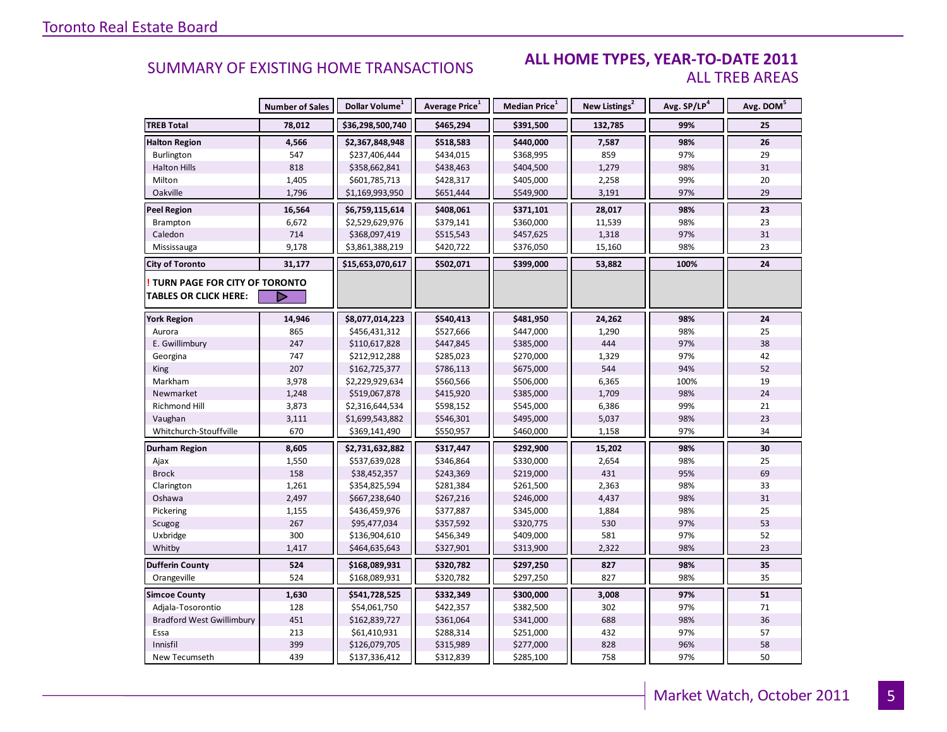### **ALL HOME TYPES, YEAR-TO-DATE 2011** ALL TREB AREAS

|                                  | <b>Number of Sales</b> | Dollar Volume <sup>1</sup> | Average Price <sup>1</sup> | Median Price <sup>1</sup> | New Listings <sup>2</sup> | Avg. SP/LP <sup>4</sup> | Avg. DOM <sup>5</sup> |
|----------------------------------|------------------------|----------------------------|----------------------------|---------------------------|---------------------------|-------------------------|-----------------------|
| <b>TREB Total</b>                | 78,012                 | \$36,298,500,740           | \$465,294                  | \$391,500                 | 132,785                   | 99%                     | 25                    |
| <b>Halton Region</b>             | 4,566                  | \$2,367,848,948            | \$518,583                  | \$440,000                 | 7,587                     | 98%                     | 26                    |
| Burlington                       | 547                    | \$237,406,444              | \$434,015                  | \$368,995                 | 859                       | 97%                     | 29                    |
| <b>Halton Hills</b>              | 818                    | \$358,662,841              | \$438,463                  | \$404,500                 | 1,279                     | 98%                     | 31                    |
| Milton                           | 1,405                  | \$601,785,713              | \$428,317                  | \$405,000                 | 2,258                     | 99%                     | 20                    |
| Oakville                         | 1,796                  | \$1,169,993,950            | \$651,444                  | \$549,900                 | 3,191                     | 97%                     | 29                    |
| <b>Peel Region</b>               | 16,564                 | \$6,759,115,614            | \$408,061                  | \$371,101                 | 28,017                    | 98%                     | 23                    |
| Brampton                         | 6,672                  | \$2,529,629,976            | \$379,141                  | \$360,000                 | 11,539                    | 98%                     | 23                    |
| Caledon                          | 714                    | \$368,097,419              | \$515,543                  | \$457,625                 | 1,318                     | 97%                     | 31                    |
| Mississauga                      | 9,178                  | \$3,861,388,219            | \$420,722                  | \$376,050                 | 15,160                    | 98%                     | 23                    |
| <b>City of Toronto</b>           | 31,177                 | \$15,653,070,617           | \$502,071                  | \$399,000                 | 53,882                    | 100%                    | 24                    |
| TURN PAGE FOR CITY OF TORONTO    |                        |                            |                            |                           |                           |                         |                       |
| <b>TABLES OR CLICK HERE:</b>     |                        |                            |                            |                           |                           |                         |                       |
| <b>York Region</b>               | 14,946                 | \$8,077,014,223            | \$540,413                  | \$481,950                 | 24,262                    | 98%                     | 24                    |
| Aurora                           | 865                    | \$456,431,312              | \$527,666                  | \$447,000                 | 1,290                     | 98%                     | 25                    |
| E. Gwillimbury                   | 247                    | \$110,617,828              | \$447,845                  | \$385,000                 | 444                       | 97%                     | 38                    |
| Georgina                         | 747                    | \$212,912,288              | \$285,023                  | \$270,000                 | 1,329                     | 97%                     | 42                    |
| King                             | 207                    | \$162,725,377              | \$786,113                  | \$675,000                 | 544                       | 94%                     | 52                    |
| Markham                          | 3,978                  | \$2,229,929,634            | \$560,566                  | \$506,000                 | 6,365                     | 100%                    | 19                    |
| Newmarket                        | 1,248                  | \$519,067,878              | \$415,920                  | \$385,000                 | 1,709                     | 98%                     | 24                    |
| Richmond Hill                    | 3,873                  | \$2,316,644,534            | \$598,152                  | \$545,000                 | 6,386                     | 99%                     | 21                    |
| Vaughan                          | 3,111                  | \$1,699,543,882            | \$546,301                  | \$495,000                 | 5,037                     | 98%                     | 23                    |
| Whitchurch-Stouffville           | 670                    | \$369,141,490              | \$550,957                  | \$460,000                 | 1,158                     | 97%                     | 34                    |
| Durham Region                    | 8,605                  | \$2,731,632,882            | \$317,447                  | \$292,900                 | 15,202                    | 98%                     | 30                    |
| Ajax                             | 1,550                  | \$537,639,028              | \$346,864                  | \$330,000                 | 2,654                     | 98%                     | 25                    |
| <b>Brock</b>                     | 158                    | \$38,452,357               | \$243,369                  | \$219,000                 | 431                       | 95%                     | 69                    |
| Clarington                       | 1,261                  | \$354,825,594              | \$281,384                  | \$261,500                 | 2,363                     | 98%                     | 33                    |
| Oshawa                           | 2,497                  | \$667,238,640              | \$267,216                  | \$246,000                 | 4,437                     | 98%                     | 31                    |
| Pickering                        | 1,155                  | \$436,459,976              | \$377,887                  | \$345,000                 | 1,884                     | 98%                     | 25                    |
| Scugog                           | 267                    | \$95,477,034               | \$357,592                  | \$320,775                 | 530                       | 97%                     | 53                    |
| Uxbridge                         | 300                    | \$136,904,610              | \$456,349                  | \$409,000                 | 581                       | 97%                     | 52                    |
| Whitby                           | 1,417                  | \$464,635,643              | \$327,901                  | \$313,900                 | 2,322                     | 98%                     | 23                    |
| <b>Dufferin County</b>           | 524                    | \$168,089,931              | \$320,782                  | \$297,250                 | 827                       | 98%                     | 35                    |
| Orangeville                      | 524                    | \$168,089,931              | \$320,782                  | \$297,250                 | 827                       | 98%                     | 35                    |
| <b>Simcoe County</b>             | 1,630                  | \$541,728,525              | \$332,349                  | \$300,000                 | 3,008                     | 97%                     | 51                    |
| Adjala-Tosorontio                | 128                    | \$54,061,750               | \$422,357                  | \$382,500                 | 302                       | 97%                     | 71                    |
| <b>Bradford West Gwillimbury</b> | 451                    | \$162,839,727              | \$361,064                  | \$341,000                 | 688                       | 98%                     | 36                    |
| Essa                             | 213                    | \$61,410,931               | \$288,314                  | \$251,000                 | 432                       | 97%                     | 57                    |
| Innisfil                         | 399                    | \$126,079,705              | \$315,989                  | \$277,000                 | 828                       | 96%                     | 58                    |
| New Tecumseth                    | 439                    | \$137,336,412              | \$312,839                  | \$285,100                 | 758                       | 97%                     | 50                    |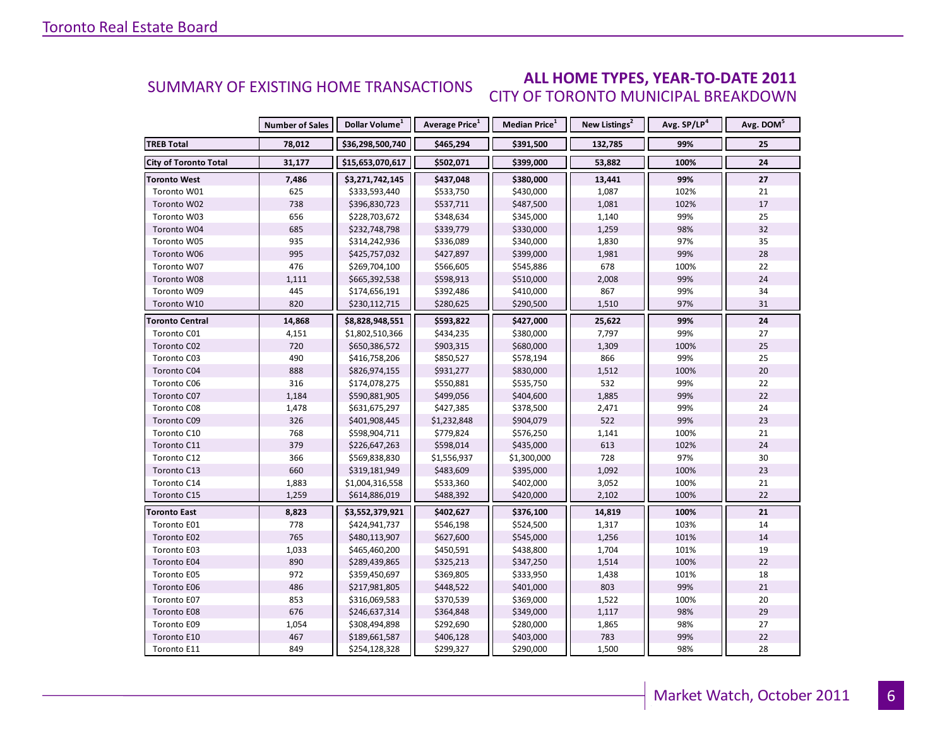### **ALL HOME TYPES, YEAR-TO-DATE 2011** CITY OF TORONTO MUNICIPAL BREAKDOWN SUMMARY OF EXISTING HOME TRANSACTIONS

|                              | <b>Number of Sales</b> | Dollar Volume <sup>1</sup> | Average Price <sup>1</sup> | Median Price <sup>1</sup> | New Listings <sup>2</sup> | Avg. SP/LP <sup>4</sup> | Avg. DOM <sup>5</sup> |
|------------------------------|------------------------|----------------------------|----------------------------|---------------------------|---------------------------|-------------------------|-----------------------|
| <b>TREB Total</b>            | 78,012                 | \$36,298,500,740           | \$465,294                  | \$391,500                 | 132,785                   | 99%                     | 25                    |
| <b>City of Toronto Total</b> | 31,177                 | \$15,653,070,617           | \$502,071                  | \$399,000                 | 53,882                    | 100%                    | 24                    |
| <b>Toronto West</b>          | 7,486                  | \$3,271,742,145            | \$437,048                  | \$380,000                 | 13,441                    | 99%                     | 27                    |
| Toronto W01                  | 625                    | \$333,593,440              | \$533,750                  | \$430,000                 | 1,087                     | 102%                    | 21                    |
| Toronto W02                  | 738                    | \$396,830,723              | \$537,711                  | \$487,500                 | 1,081                     | 102%                    | 17                    |
| Toronto W03                  | 656                    | \$228,703,672              | \$348,634                  | \$345,000                 | 1,140                     | 99%                     | 25                    |
| Toronto W04                  | 685                    | \$232,748,798              | \$339,779                  | \$330,000                 | 1,259                     | 98%                     | 32                    |
| Toronto W05                  | 935                    | \$314,242,936              | \$336,089                  | \$340,000                 | 1,830                     | 97%                     | 35                    |
| Toronto W06                  | 995                    | \$425,757,032              | \$427,897                  | \$399,000                 | 1,981                     | 99%                     | 28                    |
| Toronto W07                  | 476                    | \$269,704,100              | \$566,605                  | \$545,886                 | 678                       | 100%                    | 22                    |
| Toronto W08                  | 1,111                  | \$665,392,538              | \$598,913                  | \$510,000                 | 2,008                     | 99%                     | 24                    |
| Toronto W09                  | 445                    | \$174,656,191              | \$392,486                  | \$410,000                 | 867                       | 99%                     | 34                    |
| Toronto W10                  | 820                    | \$230,112,715              | \$280,625                  | \$290,500                 | 1,510                     | 97%                     | 31                    |
| <b>Toronto Central</b>       | 14,868                 | \$8,828,948,551            | \$593,822                  | \$427,000                 | 25,622                    | 99%                     | 24                    |
| Toronto C01                  | 4,151                  | \$1,802,510,366            | \$434,235                  | \$380,000                 | 7,797                     | 99%                     | 27                    |
| Toronto C02                  | 720                    | \$650,386,572              | \$903,315                  | \$680,000                 | 1,309                     | 100%                    | 25                    |
| Toronto C03                  | 490                    | \$416,758,206              | \$850,527                  | \$578,194                 | 866                       | 99%                     | 25                    |
| Toronto C04                  | 888                    | \$826,974,155              | \$931,277                  | \$830,000                 | 1,512                     | 100%                    | 20                    |
| Toronto C06                  | 316                    | \$174,078,275              | \$550,881                  | \$535,750                 | 532                       | 99%                     | 22                    |
| Toronto C07                  | 1,184                  | \$590,881,905              | \$499,056                  | \$404,600                 | 1,885                     | 99%                     | 22                    |
| Toronto C08                  | 1,478                  | \$631,675,297              | \$427,385                  | \$378,500                 | 2,471                     | 99%                     | 24                    |
| Toronto C09                  | 326                    | \$401,908,445              | \$1,232,848                | \$904,079                 | 522                       | 99%                     | 23                    |
| Toronto C10                  | 768                    | \$598,904,711              | \$779,824                  | \$576,250                 | 1,141                     | 100%                    | 21                    |
| Toronto C11                  | 379                    | \$226,647,263              | \$598,014                  | \$435,000                 | 613                       | 102%                    | 24                    |
| Toronto C12                  | 366                    | \$569,838,830              | \$1,556,937                | \$1,300,000               | 728                       | 97%                     | 30                    |
| Toronto C13                  | 660                    | \$319,181,949              | \$483,609                  | \$395,000                 | 1,092                     | 100%                    | 23                    |
| Toronto C14                  | 1,883                  | \$1,004,316,558            | \$533,360                  | \$402,000                 | 3,052                     | 100%                    | 21                    |
| Toronto C15                  | 1,259                  | \$614,886,019              | \$488,392                  | \$420,000                 | 2,102                     | 100%                    | 22                    |
| <b>Toronto East</b>          | 8,823                  | \$3,552,379,921            | \$402,627                  | \$376,100                 | 14,819                    | 100%                    | 21                    |
| Toronto E01                  | 778                    | \$424,941,737              | \$546,198                  | \$524,500                 | 1,317                     | 103%                    | 14                    |
| Toronto E02                  | 765                    | \$480,113,907              | \$627,600                  | \$545,000                 | 1,256                     | 101%                    | 14                    |
| Toronto E03                  | 1,033                  | \$465,460,200              | \$450,591                  | \$438,800                 | 1,704                     | 101%                    | 19                    |
| Toronto E04                  | 890                    | \$289,439,865              | \$325,213                  | \$347,250                 | 1,514                     | 100%                    | 22                    |
| Toronto E05                  | 972                    | \$359,450,697              | \$369,805                  | \$333,950                 | 1,438                     | 101%                    | 18                    |
| Toronto E06                  | 486                    | \$217,981,805              | \$448,522                  | \$401,000                 | 803                       | 99%                     | 21                    |
| Toronto E07                  | 853                    | \$316,069,583              | \$370,539                  | \$369,000                 | 1,522                     | 100%                    | 20                    |
| Toronto E08                  | 676                    | \$246,637,314              | \$364,848                  | \$349,000                 | 1,117                     | 98%                     | 29                    |
| Toronto E09                  | 1,054                  | \$308,494,898              | \$292,690                  | \$280,000                 | 1,865                     | 98%                     | 27                    |
| Toronto E10                  | 467                    | \$189,661,587              | \$406,128                  | \$403,000                 | 783                       | 99%                     | 22                    |
| Toronto E11                  | 849                    | \$254,128,328              | \$299,327                  | \$290,000                 | 1,500                     | 98%                     | 28                    |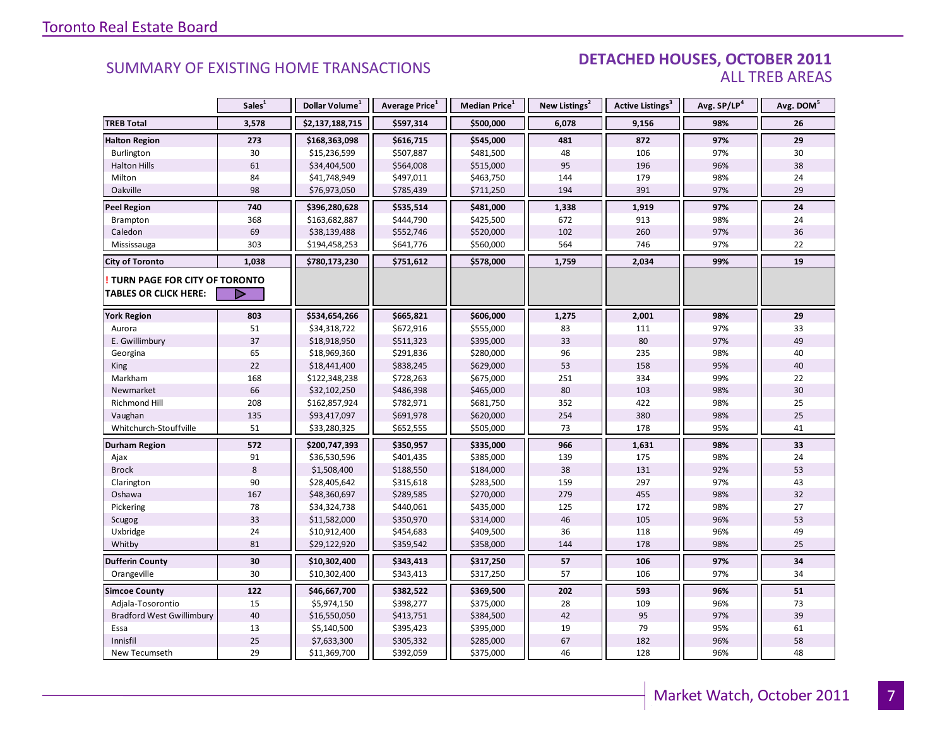### DETACHED HOUSES, OCTOBER 2011 ALL TREB AREAS

|                                  | Sales <sup>1</sup> | Dollar Volume <sup>1</sup> | Average Price <sup>1</sup> | Median Price <sup>1</sup> | New Listings <sup>2</sup> | Active Listings <sup>3</sup> | Avg. SP/LP <sup>4</sup> | Avg. DOM <sup>5</sup> |
|----------------------------------|--------------------|----------------------------|----------------------------|---------------------------|---------------------------|------------------------------|-------------------------|-----------------------|
| <b>TREB Total</b>                | 3,578              | \$2,137,188,715            | \$597,314                  | \$500,000                 | 6,078                     | 9,156                        | 98%                     | 26                    |
| <b>Halton Region</b>             | 273                | \$168,363,098              | \$616,715                  | \$545,000                 | 481                       | 872                          | 97%                     | 29                    |
| Burlington                       | 30                 | \$15,236,599               | \$507,887                  | \$481,500                 | 48                        | 106                          | 97%                     | 30                    |
| <b>Halton Hills</b>              | 61                 | \$34,404,500               | \$564,008                  | \$515,000                 | 95                        | 196                          | 96%                     | 38                    |
| Milton                           | 84                 | \$41,748,949               | \$497,011                  | \$463,750                 | 144                       | 179                          | 98%                     | 24                    |
| Oakville                         | 98                 | \$76,973,050               | \$785,439                  | \$711,250                 | 194                       | 391                          | 97%                     | 29                    |
| <b>Peel Region</b>               | 740                | \$396,280,628              | \$535,514                  | \$481,000                 | 1,338                     | 1,919                        | 97%                     | 24                    |
| <b>Brampton</b>                  | 368                | \$163,682,887              | \$444,790                  | \$425,500                 | 672                       | 913                          | 98%                     | 24                    |
| Caledon                          | 69                 | \$38,139,488               | \$552,746                  | \$520,000                 | 102                       | 260                          | 97%                     | 36                    |
| Mississauga                      | 303                | \$194,458,253              | \$641,776                  | \$560,000                 | 564                       | 746                          | 97%                     | 22                    |
| <b>City of Toronto</b>           | 1,038              | \$780,173,230              | \$751,612                  | \$578,000                 | 1,759                     | 2,034                        | 99%                     | 19                    |
| TURN PAGE FOR CITY OF TORONTO    |                    |                            |                            |                           |                           |                              |                         |                       |
| <b>TABLES OR CLICK HERE:</b>     |                    |                            |                            |                           |                           |                              |                         |                       |
| <b>York Region</b>               | 803                | \$534,654,266              | \$665,821                  | \$606,000                 | 1,275                     | 2,001                        | 98%                     | 29                    |
| Aurora                           | 51                 | \$34,318,722               | \$672,916                  | \$555,000                 | 83                        | 111                          | 97%                     | 33                    |
| E. Gwillimbury                   | 37                 | \$18,918,950               | \$511,323                  | \$395,000                 | 33                        | 80                           | 97%                     | 49                    |
| Georgina                         | 65                 | \$18,969,360               | \$291,836                  | \$280,000                 | 96                        | 235                          | 98%                     | 40                    |
| King                             | 22                 | \$18,441,400               | \$838,245                  | \$629,000                 | 53                        | 158                          | 95%                     | 40                    |
| Markham                          | 168                | \$122,348,238              | \$728,263                  | \$675,000                 | 251                       | 334                          | 99%                     | 22                    |
| Newmarket                        | 66                 | \$32,102,250               | \$486,398                  | \$465,000                 | 80                        | 103                          | 98%                     | 30                    |
| Richmond Hill                    | 208                | \$162,857,924              | \$782,971                  | \$681,750                 | 352                       | 422                          | 98%                     | 25                    |
| Vaughan                          | 135                | \$93,417,097               | \$691,978                  | \$620,000                 | 254                       | 380                          | 98%                     | 25                    |
| Whitchurch-Stouffville           | 51                 | \$33,280,325               | \$652,555                  | \$505,000                 | 73                        | 178                          | 95%                     | 41                    |
| <b>Durham Region</b>             | 572                | \$200,747,393              | \$350,957                  | \$335,000                 | 966                       | 1,631                        | 98%                     | 33                    |
| Ajax                             | 91                 | \$36,530,596               | \$401,435                  | \$385,000                 | 139                       | 175                          | 98%                     | 24                    |
| <b>Brock</b>                     | $\,8\,$            | \$1,508,400                | \$188,550                  | \$184,000                 | 38                        | 131                          | 92%                     | 53                    |
| Clarington                       | 90                 | \$28,405,642               | \$315,618                  | \$283,500                 | 159                       | 297                          | 97%                     | 43                    |
| Oshawa                           | 167                | \$48,360,697               | \$289,585                  | \$270,000                 | 279                       | 455                          | 98%                     | 32                    |
| Pickering                        | 78                 | \$34,324,738               | \$440,061                  | \$435,000                 | 125                       | 172                          | 98%                     | 27                    |
| Scugog                           | 33                 | \$11,582,000               | \$350,970                  | \$314,000                 | 46                        | 105                          | 96%                     | 53                    |
| Uxbridge                         | 24                 | \$10,912,400               | \$454,683                  | \$409,500                 | 36                        | 118                          | 96%                     | 49                    |
| Whitby                           | 81                 | \$29,122,920               | \$359,542                  | \$358,000                 | 144                       | 178                          | 98%                     | 25                    |
| <b>Dufferin County</b>           | 30                 | \$10,302,400               | \$343,413                  | \$317,250                 | 57                        | 106                          | 97%                     | 34                    |
| Orangeville                      | 30                 | \$10,302,400               | \$343,413                  | \$317,250                 | 57                        | 106                          | 97%                     | 34                    |
| <b>Simcoe County</b>             | 122                | \$46,667,700               | \$382,522                  | \$369,500                 | 202                       | 593                          | 96%                     | 51                    |
| Adjala-Tosorontio                | 15                 | \$5,974,150                | \$398,277                  | \$375,000                 | 28                        | 109                          | 96%                     | 73                    |
| <b>Bradford West Gwillimbury</b> | 40                 | \$16,550,050               | \$413,751                  | \$384,500                 | 42                        | 95                           | 97%                     | 39                    |
| Essa                             | 13                 | \$5,140,500                | \$395,423                  | \$395,000                 | 19                        | 79                           | 95%                     | 61                    |
| Innisfil                         | 25                 | \$7,633,300                | \$305,332                  | \$285,000                 | 67                        | 182                          | 96%                     | 58                    |
| New Tecumseth                    | 29                 | \$11,369,700               | \$392,059                  | \$375,000                 | 46                        | 128                          | 96%                     | 48                    |

**Page 3 July 2010**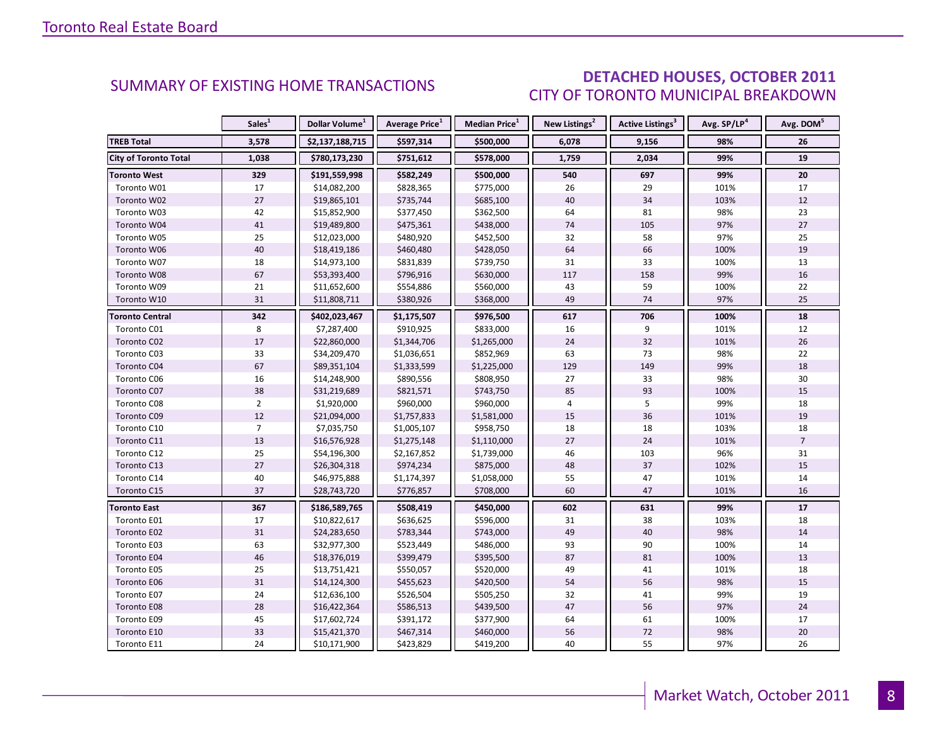### DETACHED HOUSES, OCTOBER 2011 CITY OF TORONTO MUNICIPAL BREAKDOWN

<span id="page-7-0"></span>

|                              | Sales <sup>1</sup> | Dollar Volume <sup>1</sup> | <b>Average Price</b> <sup>1</sup> | <b>Median Price</b> <sup>1</sup> | New Listings <sup>2</sup> | <b>Active Listings<sup>3</sup></b> | Avg. SP/LP <sup>4</sup> | Avg. DOM <sup>5</sup> |
|------------------------------|--------------------|----------------------------|-----------------------------------|----------------------------------|---------------------------|------------------------------------|-------------------------|-----------------------|
| <b>TREB Total</b>            | 3,578              | \$2,137,188,715            | \$597,314                         | \$500,000                        | 6,078                     | 9,156                              | 98%                     | 26                    |
| <b>City of Toronto Total</b> | 1,038              | \$780,173,230              | \$751,612                         | \$578,000                        | 1,759                     | 2,034                              | 99%                     | 19                    |
| <b>Toronto West</b>          | 329                | \$191,559,998              | \$582,249                         | \$500,000                        | 540                       | 697                                | 99%                     | 20                    |
| Toronto W01                  | 17                 | \$14,082,200               | \$828,365                         | \$775,000                        | 26                        | 29                                 | 101%                    | 17                    |
| Toronto W02                  | 27                 | \$19,865,101               | \$735,744                         | \$685,100                        | 40                        | 34                                 | 103%                    | 12                    |
| Toronto W03                  | 42                 | \$15,852,900               | \$377,450                         | \$362,500                        | 64                        | 81                                 | 98%                     | 23                    |
| Toronto W04                  | 41                 | \$19,489,800               | \$475,361                         | \$438,000                        | 74                        | 105                                | 97%                     | 27                    |
| Toronto W05                  | 25                 | \$12,023,000               | \$480,920                         | \$452,500                        | 32                        | 58                                 | 97%                     | 25                    |
| Toronto W06                  | 40                 | \$18,419,186               | \$460,480                         | \$428,050                        | 64                        | 66                                 | 100%                    | 19                    |
| Toronto W07                  | 18                 | \$14,973,100               | \$831,839                         | \$739,750                        | 31                        | 33                                 | 100%                    | 13                    |
| Toronto W08                  | 67                 | \$53,393,400               | \$796,916                         | \$630,000                        | 117                       | 158                                | 99%                     | 16                    |
| Toronto W09                  | 21                 | \$11,652,600               | \$554,886                         | \$560,000                        | 43                        | 59                                 | 100%                    | 22                    |
| Toronto W10                  | 31                 | \$11,808,711               | \$380,926                         | \$368,000                        | 49                        | 74                                 | 97%                     | 25                    |
| <b>Toronto Central</b>       | 342                | \$402,023,467              | \$1,175,507                       | \$976,500                        | 617                       | 706                                | 100%                    | 18                    |
| Toronto C01                  | 8                  | \$7,287,400                | \$910,925                         | \$833,000                        | 16                        | 9                                  | 101%                    | 12                    |
| Toronto C02                  | 17                 | \$22,860,000               | \$1,344,706                       | \$1,265,000                      | 24                        | 32                                 | 101%                    | 26                    |
| Toronto C03                  | 33                 | \$34,209,470               | \$1,036,651                       | \$852,969                        | 63                        | 73                                 | 98%                     | 22                    |
| Toronto C04                  | 67                 | \$89,351,104               | \$1,333,599                       | \$1,225,000                      | 129                       | 149                                | 99%                     | 18                    |
| Toronto C06                  | 16                 | \$14,248,900               | \$890,556                         | \$808,950                        | 27                        | 33                                 | 98%                     | 30                    |
| Toronto C07                  | 38                 | \$31,219,689               | \$821,571                         | \$743,750                        | 85                        | 93                                 | 100%                    | 15                    |
| Toronto C08                  | $\overline{2}$     | \$1,920,000                | \$960,000                         | \$960,000                        | $\overline{4}$            | 5                                  | 99%                     | 18                    |
| Toronto C09                  | 12                 | \$21,094,000               | \$1,757,833                       | \$1,581,000                      | 15                        | 36                                 | 101%                    | 19                    |
| Toronto C10                  | $\overline{7}$     | \$7,035,750                | \$1,005,107                       | \$958,750                        | 18                        | 18                                 | 103%                    | 18                    |
| Toronto C11                  | 13                 | \$16,576,928               | \$1,275,148                       | \$1,110,000                      | 27                        | 24                                 | 101%                    | $\overline{7}$        |
| Toronto C12                  | 25                 | \$54,196,300               | \$2,167,852                       | \$1,739,000                      | 46                        | 103                                | 96%                     | 31                    |
| Toronto C13                  | 27                 | \$26,304,318               | \$974,234                         | \$875,000                        | 48                        | 37                                 | 102%                    | 15                    |
| Toronto C14                  | 40                 | \$46,975,888               | \$1,174,397                       | \$1,058,000                      | 55                        | 47                                 | 101%                    | 14                    |
| Toronto C15                  | 37                 | \$28,743,720               | \$776,857                         | \$708,000                        | 60                        | 47                                 | 101%                    | 16                    |
| <b>Toronto East</b>          | 367                | \$186,589,765              | \$508,419                         | \$450,000                        | 602                       | 631                                | 99%                     | 17                    |
| Toronto E01                  | 17                 | \$10,822,617               | \$636,625                         | \$596,000                        | 31                        | 38                                 | 103%                    | 18                    |
| Toronto E02                  | 31                 | \$24,283,650               | \$783,344                         | \$743,000                        | 49                        | 40                                 | 98%                     | 14                    |
| Toronto E03                  | 63                 | \$32,977,300               | \$523,449                         | \$486,000                        | 93                        | 90                                 | 100%                    | 14                    |
| Toronto E04                  | 46                 | \$18,376,019               | \$399,479                         | \$395,500                        | 87                        | 81                                 | 100%                    | 13                    |
| Toronto E05                  | 25                 | \$13,751,421               | \$550,057                         | \$520,000                        | 49                        | 41                                 | 101%                    | 18                    |
| Toronto E06                  | 31                 | \$14,124,300               | \$455,623                         | \$420,500                        | 54                        | 56                                 | 98%                     | 15                    |
| Toronto E07                  | 24                 | \$12,636,100               | \$526,504                         | \$505,250                        | 32                        | 41                                 | 99%                     | 19                    |
| Toronto E08                  | 28                 | \$16,422,364               | \$586,513                         | \$439,500                        | 47                        | 56                                 | 97%                     | 24                    |
| Toronto E09                  | 45                 | \$17,602,724               | \$391,172                         | \$377,900                        | 64                        | 61                                 | 100%                    | 17                    |
| Toronto E10                  | 33                 | \$15,421,370               | \$467,314                         | \$460,000                        | 56                        | 72                                 | 98%                     | 20                    |
| Toronto E11                  | 24                 | \$10,171,900               | \$423,829                         | \$419,200                        | 40                        | 55                                 | 97%                     | 26                    |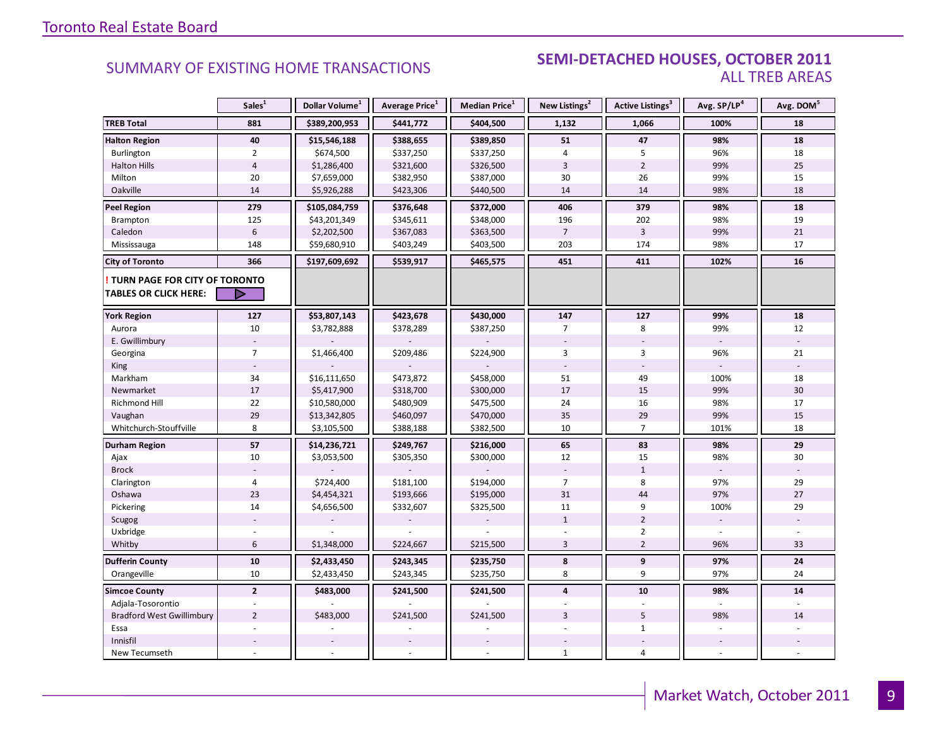### **Industrial Leasing SUMMARY OF EXISTING HOME TRANSACTIONS SEMI-DETACHED HOUSES, OCTOBER 2011** ALL TREB AREAS

|                                                               | Sales <sup>1</sup> | Dollar Volume <sup>1</sup> | Average Price <sup>1</sup> | Median Price <sup>1</sup> | New Listings <sup>2</sup> | Active Listings <sup>3</sup> | Avg. SP/LP <sup>4</sup> | Avg. DOM <sup>5</sup> |
|---------------------------------------------------------------|--------------------|----------------------------|----------------------------|---------------------------|---------------------------|------------------------------|-------------------------|-----------------------|
| <b>TREB Total</b>                                             | 881                | \$389,200,953              | \$441,772                  | \$404,500                 | 1,132                     | 1,066                        | 100%                    | 18                    |
| <b>Halton Region</b>                                          | 40                 | \$15,546,188               | \$388,655                  | \$389,850                 | 51                        | 47                           | 98%                     | 18                    |
| Burlington                                                    | $\overline{2}$     | \$674,500                  | \$337,250                  | \$337,250                 | $\overline{4}$            | 5                            | 96%                     | 18                    |
| <b>Halton Hills</b>                                           | $\overline{4}$     | \$1,286,400                | \$321,600                  | \$326,500                 | $\overline{3}$            | $\overline{2}$               | 99%                     | 25                    |
| Milton                                                        | 20                 | \$7,659,000                | \$382,950                  | \$387,000                 | 30                        | 26                           | 99%                     | 15                    |
| Oakville                                                      | 14                 | \$5,926,288                | \$423,306                  | \$440,500                 | 14                        | 14                           | 98%                     | 18                    |
| <b>Peel Region</b>                                            | 279                | \$105,084,759              | \$376,648                  | \$372,000                 | 406                       | 379                          | 98%                     | 18                    |
| Brampton                                                      | 125                | \$43,201,349               | \$345,611                  | \$348,000                 | 196                       | 202                          | 98%                     | 19                    |
| Caledon                                                       | $6\phantom{1}$     | \$2,202,500                | \$367,083                  | \$363,500                 | $\overline{7}$            | $\overline{3}$               | 99%                     | 21                    |
| Mississauga                                                   | 148                | \$59,680,910               | \$403,249                  | \$403,500                 | 203                       | 174                          | 98%                     | 17                    |
| <b>City of Toronto</b>                                        | 366                | \$197,609,692              | \$539,917                  | \$465,575                 | 451                       | 411                          | 102%                    | 16                    |
| TURN PAGE FOR CITY OF TORONTO<br><b>TABLES OR CLICK HERE:</b> | ▷                  |                            |                            |                           |                           |                              |                         |                       |
| <b>York Region</b>                                            | 127                | \$53,807,143               | \$423,678                  | \$430,000                 | 147                       | 127                          | 99%                     | 18                    |
| Aurora                                                        | 10                 | \$3,782,888                | \$378,289                  | \$387,250                 | $\overline{7}$            | 8                            | 99%                     | 12                    |
| E. Gwillimbury                                                |                    |                            |                            |                           |                           |                              |                         |                       |
| Georgina                                                      | $\overline{7}$     | \$1,466,400                | \$209,486                  | \$224,900                 | 3                         | 3                            | 96%                     | 21                    |
| King                                                          |                    |                            |                            |                           |                           |                              |                         |                       |
| Markham                                                       | 34                 | \$16,111,650               | \$473,872                  | \$458,000                 | 51                        | 49                           | 100%                    | 18                    |
| Newmarket                                                     | $17\,$             | \$5,417,900                | \$318,700                  | \$300,000                 | 17                        | 15                           | 99%                     | 30                    |
| Richmond Hill                                                 | 22                 | \$10,580,000               | \$480,909                  | \$475,500                 | 24                        | 16                           | 98%                     | 17                    |
| Vaughan                                                       | 29                 | \$13,342,805               | \$460,097                  | \$470,000                 | 35                        | 29                           | 99%                     | 15                    |
| Whitchurch-Stouffville                                        | 8                  | \$3,105,500                | \$388,188                  | \$382,500                 | 10                        | $\overline{7}$               | 101%                    | 18                    |
| <b>Durham Region</b>                                          | 57                 | \$14,236,721               | \$249,767                  | \$216,000                 | 65                        | 83                           | 98%                     | 29                    |
| Ajax                                                          | 10                 | \$3,053,500                | \$305,350                  | \$300,000                 | 12                        | 15                           | 98%                     | 30                    |
| <b>Brock</b>                                                  |                    |                            |                            |                           |                           | $\mathbf{1}$                 |                         |                       |
| Clarington                                                    | 4                  | \$724,400                  | \$181,100                  | \$194,000                 | $\overline{7}$            | 8                            | 97%                     | 29                    |
| Oshawa                                                        | 23                 | \$4,454,321                | \$193,666                  | \$195,000                 | 31                        | 44                           | 97%                     | 27                    |
| Pickering                                                     | 14                 | \$4,656,500                | \$332,607                  | \$325,500                 | 11                        | 9                            | 100%                    | 29                    |
| Scugog                                                        |                    |                            |                            |                           | $\mathbf{1}$              | $\overline{2}$               |                         |                       |
| Uxbridge                                                      |                    |                            |                            |                           |                           | $\overline{2}$               |                         |                       |
| Whitby                                                        | 6                  | \$1,348,000                | \$224,667                  | \$215,500                 | $\overline{3}$            | $\overline{2}$               | 96%                     | 33                    |
| <b>Dufferin County</b>                                        | ${\bf 10}$         | \$2,433,450                | \$243,345                  | \$235,750                 | 8                         | 9                            | 97%                     | 24                    |
| Orangeville                                                   | 10                 | \$2,433,450                | \$243,345                  | \$235,750                 | 8                         | 9                            | 97%                     | 24                    |
| <b>Simcoe County</b>                                          | $\overline{2}$     | \$483,000                  | \$241,500                  | \$241,500                 | $\overline{4}$            | 10                           | 98%                     | 14                    |
| Adjala-Tosorontio                                             |                    |                            |                            |                           |                           |                              |                         |                       |
| <b>Bradford West Gwillimbury</b>                              | $\overline{2}$     | \$483,000                  | \$241,500                  | \$241,500                 | 3                         | 5                            | 98%                     | 14                    |
| Essa                                                          |                    |                            |                            |                           |                           | $\mathbf{1}$                 |                         |                       |
| Innisfil                                                      |                    |                            |                            |                           |                           |                              |                         |                       |
| New Tecumseth                                                 |                    |                            |                            |                           | $\mathbf{1}$              | 4                            |                         |                       |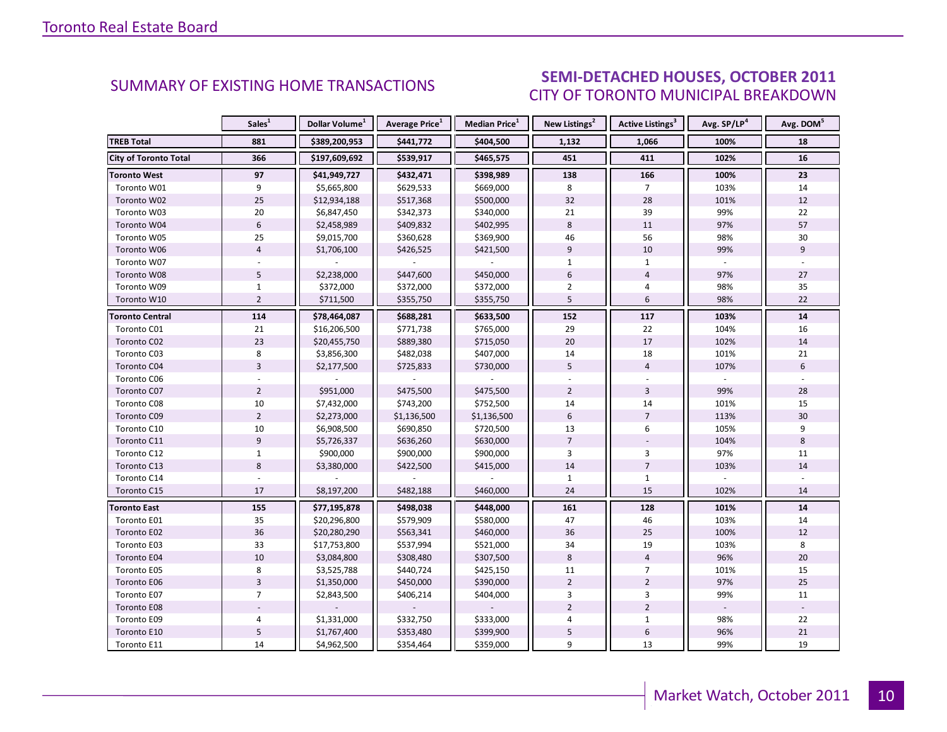### OCTORER 2011 CITY OF TORONTO MUNICIPAL BREAKDOWN SUMMARY OF EXISTING HOME TRANSACTIONS **SEMI-DETACHED HOUSES, OCTOBER 2011**

<span id="page-9-0"></span>

|                        | Sales <sup>1</sup> | Dollar Volume <sup>1</sup> | Average Price <sup>1</sup> | Median Price <sup>1</sup> | New Listings <sup>2</sup> | Active Listings <sup>3</sup> | Avg. SP/LP <sup>4</sup> | Avg. DOM <sup>5</sup> |
|------------------------|--------------------|----------------------------|----------------------------|---------------------------|---------------------------|------------------------------|-------------------------|-----------------------|
| <b>TREB Total</b>      | 881                | \$389,200,953              | \$441,772                  | \$404,500                 | 1,132                     | 1,066                        | 100%                    | 18                    |
| City of Toronto Total  | 366                | \$197,609,692              | \$539,917                  | \$465,575                 | 451                       | 411                          | 102%                    | 16                    |
| <b>Toronto West</b>    | 97                 | \$41,949,727               | \$432,471                  | \$398,989                 | 138                       | 166                          | 100%                    | 23                    |
| Toronto W01            | 9                  | \$5,665,800                | \$629,533                  | \$669,000                 | 8                         | $\overline{7}$               | 103%                    | 14                    |
| Toronto W02            | 25                 | \$12,934,188               | \$517,368                  | \$500,000                 | 32                        | 28                           | 101%                    | 12                    |
| Toronto W03            | 20                 | \$6,847,450                | \$342,373                  | \$340,000                 | 21                        | 39                           | 99%                     | 22                    |
| Toronto W04            | $\boldsymbol{6}$   | \$2,458,989                | \$409,832                  | \$402,995                 | $\,8\,$                   | 11                           | 97%                     | 57                    |
| Toronto W05            | 25                 | \$9,015,700                | \$360,628                  | \$369,900                 | 46                        | 56                           | 98%                     | 30                    |
| Toronto W06            | $\overline{4}$     | \$1,706,100                | \$426,525                  | \$421,500                 | 9                         | 10                           | 99%                     | 9                     |
| Toronto W07            |                    |                            |                            |                           | $\mathbf{1}$              | $\mathbf{1}$                 |                         |                       |
| Toronto W08            | 5                  | \$2,238,000                | \$447,600                  | \$450,000                 | $6\,$                     | $\overline{4}$               | 97%                     | 27                    |
| Toronto W09            | $\mathbf{1}$       | \$372,000                  | \$372,000                  | \$372,000                 | $\overline{2}$            | 4                            | 98%                     | 35                    |
| Toronto W10            | $\overline{2}$     | \$711,500                  | \$355,750                  | \$355,750                 | 5                         | 6                            | 98%                     | 22                    |
| <b>Toronto Central</b> | 114                | \$78,464,087               | \$688,281                  | \$633,500                 | 152                       | 117                          | 103%                    | 14                    |
| Toronto C01            | 21                 | \$16,206,500               | \$771,738                  | \$765,000                 | 29                        | 22                           | 104%                    | 16                    |
| Toronto C02            | 23                 | \$20,455,750               | \$889,380                  | \$715,050                 | 20                        | 17                           | 102%                    | 14                    |
| Toronto C03            | 8                  | \$3,856,300                | \$482,038                  | \$407,000                 | 14                        | 18                           | 101%                    | 21                    |
| Toronto C04            | $\overline{3}$     | \$2,177,500                | \$725,833                  | \$730,000                 | 5                         | $\overline{4}$               | 107%                    | 6                     |
| Toronto C06            |                    |                            |                            |                           |                           |                              |                         |                       |
| Toronto C07            | $\overline{2}$     | \$951,000                  | \$475,500                  | \$475,500                 | $\overline{2}$            | $\overline{3}$               | 99%                     | 28                    |
| Toronto C08            | 10                 | \$7,432,000                | \$743,200                  | \$752,500                 | 14                        | 14                           | 101%                    | 15                    |
| Toronto C09            | $\overline{2}$     | \$2,273,000                | \$1,136,500                | \$1,136,500               | 6                         | $\overline{7}$               | 113%                    | 30                    |
| Toronto C10            | 10                 | \$6,908,500                | \$690,850                  | \$720,500                 | 13                        | 6                            | 105%                    | 9                     |
| Toronto C11            | $\overline{9}$     | \$5,726,337                | \$636,260                  | \$630,000                 | $\overline{7}$            |                              | 104%                    | 8                     |
| Toronto C12            | $\mathbf 1$        | \$900,000                  | \$900,000                  | \$900,000                 | $\overline{3}$            | 3                            | 97%                     | 11                    |
| Toronto C13            | 8                  | \$3,380,000                | \$422,500                  | \$415,000                 | 14                        | $\overline{7}$               | 103%                    | 14                    |
| Toronto C14            |                    |                            |                            |                           | $\mathbf{1}$              | $\mathbf{1}$                 |                         |                       |
| Toronto C15            | 17                 | \$8,197,200                | \$482,188                  | \$460,000                 | 24                        | 15                           | 102%                    | 14                    |
| <b>Toronto East</b>    | 155                | \$77,195,878               | \$498,038                  | \$448,000                 | 161                       | 128                          | 101%                    | 14                    |
| Toronto E01            | 35                 | \$20,296,800               | \$579,909                  | \$580,000                 | 47                        | 46                           | 103%                    | 14                    |
| Toronto E02            | 36                 | \$20,280,290               | \$563,341                  | \$460,000                 | 36                        | 25                           | 100%                    | 12                    |
| Toronto E03            | 33                 | \$17,753,800               | \$537,994                  | \$521,000                 | 34                        | 19                           | 103%                    | 8                     |
| Toronto E04            | $10\,$             | \$3,084,800                | \$308,480                  | \$307,500                 | 8                         | $\overline{4}$               | 96%                     | 20                    |
| Toronto E05            | 8                  | \$3,525,788                | \$440,724                  | \$425,150                 | 11                        | $\overline{7}$               | 101%                    | 15                    |
| Toronto E06            | $\overline{3}$     | \$1,350,000                | \$450,000                  | \$390,000                 | $\overline{2}$            | $\overline{2}$               | 97%                     | 25                    |
| Toronto E07            | $\overline{7}$     | \$2,843,500                | \$406,214                  | \$404,000                 | $\overline{3}$            | 3                            | 99%                     | 11                    |
| Toronto E08            |                    |                            |                            |                           | $\overline{2}$            | $\overline{2}$               |                         |                       |
| Toronto E09            | 4                  | \$1,331,000                | \$332,750                  | \$333,000                 | $\overline{4}$            | $\mathbf{1}$                 | 98%                     | 22                    |
| Toronto E10            | 5                  | \$1,767,400                | \$353,480                  | \$399,900                 | 5                         | 6                            | 96%                     | 21                    |
| Toronto E11            | 14                 | \$4,962,500                | \$354,464                  | \$359,000                 | 9                         | 13                           | 99%                     | 19                    |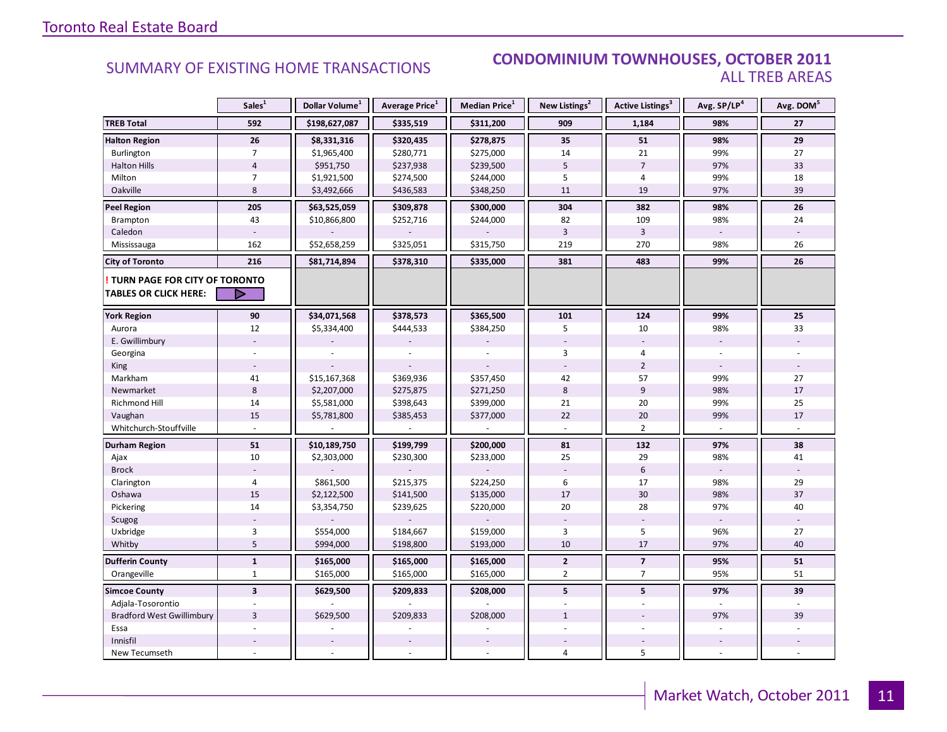### SUMMARY OF EXISTING HOME TRANSACTIONS **CONDOMINIUM TOWNHOUSES, OCTOBER 2011** ALL TREB AREAS

|                                        | Sales <sup>1</sup>      | Dollar Volume <sup>1</sup> | Average Price <sup>1</sup> | Median Price <sup>1</sup> | New Listings <sup>2</sup> | Active Listings <sup>3</sup> | Avg. SP/LP <sup>4</sup> | Avg. DOM <sup>5</sup> |
|----------------------------------------|-------------------------|----------------------------|----------------------------|---------------------------|---------------------------|------------------------------|-------------------------|-----------------------|
| <b>TREB Total</b>                      | 592                     | \$198,627,087              | \$335,519                  | \$311,200                 | 909                       | 1,184                        | 98%                     | 27                    |
| <b>Halton Region</b>                   | 26                      | \$8,331,316                | \$320,435                  | \$278,875                 | 35                        | 51                           | 98%                     | 29                    |
| Burlington                             | $\overline{7}$          | \$1,965,400                | \$280,771                  | \$275,000                 | 14                        | 21                           | 99%                     | 27                    |
| <b>Halton Hills</b>                    | $\overline{4}$          | \$951,750                  | \$237,938                  | \$239,500                 | 5                         | $\overline{7}$               | 97%                     | 33                    |
| Milton                                 | $\overline{7}$          | \$1,921,500                | \$274,500                  | \$244,000                 | 5                         | 4                            | 99%                     | 18                    |
| Oakville                               | 8                       | \$3,492,666                | \$436,583                  | \$348,250                 | 11                        | 19                           | 97%                     | 39                    |
| <b>Peel Region</b>                     | 205                     | \$63,525,059               | \$309,878                  | \$300,000                 | 304                       | 382                          | 98%                     | 26                    |
| Brampton                               | 43                      | \$10,866,800               | \$252,716                  | \$244,000                 | 82                        | 109                          | 98%                     | 24                    |
| Caledon                                |                         |                            |                            |                           | $\overline{3}$            | $\overline{3}$               |                         |                       |
| Mississauga                            | 162                     | \$52,658,259               | \$325,051                  | \$315,750                 | 219                       | 270                          | 98%                     | 26                    |
| <b>City of Toronto</b>                 | 216                     | \$81,714,894               | \$378,310                  | \$335,000                 | 381                       | 483                          | 99%                     | 26                    |
| <b>! TURN PAGE FOR CITY OF TORONTO</b> |                         |                            |                            |                           |                           |                              |                         |                       |
| <b>TABLES OR CLICK HERE:</b>           | ▷                       |                            |                            |                           |                           |                              |                         |                       |
| <b>York Region</b>                     | 90                      | \$34,071,568               | \$378,573                  | \$365,500                 | 101                       | 124                          | 99%                     | 25                    |
| Aurora                                 | 12                      | \$5,334,400                | \$444,533                  | \$384,250                 | 5                         | 10                           | 98%                     | 33                    |
| E. Gwillimbury                         |                         |                            |                            |                           |                           |                              |                         |                       |
| Georgina                               |                         |                            |                            |                           | 3                         | 4                            |                         |                       |
| King                                   |                         |                            |                            |                           |                           | $\overline{2}$               |                         |                       |
| Markham                                | 41                      | \$15,167,368               | \$369,936                  | \$357,450                 | 42                        | 57                           | 99%                     | 27                    |
| Newmarket                              | 8                       | \$2,207,000                | \$275,875                  | \$271,250                 | 8                         | 9                            | 98%                     | 17                    |
| Richmond Hill                          | 14                      | \$5,581,000                | \$398,643                  | \$399,000                 | 21                        | 20                           | 99%                     | 25                    |
| Vaughan                                | 15                      | \$5,781,800                | \$385,453                  | \$377,000                 | 22                        | 20                           | 99%                     | 17                    |
| Whitchurch-Stouffville                 |                         |                            |                            |                           |                           | $\overline{2}$               |                         |                       |
| <b>Durham Region</b>                   | 51                      | \$10,189,750               | \$199,799                  | \$200,000                 | 81                        | 132                          | 97%                     | 38                    |
| Ajax                                   | 10                      | \$2,303,000                | \$230,300                  | \$233,000                 | 25                        | 29                           | 98%                     | 41                    |
| <b>Brock</b>                           |                         |                            |                            |                           |                           | $6\,$                        |                         |                       |
| Clarington                             | 4                       | \$861,500                  | \$215,375                  | \$224,250                 | 6                         | 17                           | 98%                     | 29                    |
| Oshawa                                 | 15                      | \$2,122,500                | \$141,500                  | \$135,000                 | 17                        | 30                           | 98%                     | 37                    |
| Pickering                              | 14                      | \$3,354,750                | \$239,625                  | \$220,000                 | 20                        | 28                           | 97%                     | 40                    |
| Scugog                                 |                         |                            |                            |                           |                           |                              |                         |                       |
| Uxbridge                               | 3                       | \$554,000                  | \$184,667                  | \$159,000                 | 3                         | 5                            | 96%                     | 27                    |
| Whitby                                 | 5                       | \$994,000                  | \$198,800                  | \$193,000                 | 10                        | 17                           | 97%                     | 40                    |
| <b>Dufferin County</b>                 | $\mathbf{1}$            | \$165,000                  | \$165,000                  | \$165,000                 | $\mathbf{2}$              | $\overline{\phantom{a}}$     | 95%                     | 51                    |
| Orangeville                            | $\mathbf{1}$            | \$165,000                  | \$165,000                  | \$165,000                 | $\overline{2}$            | $\overline{7}$               | 95%                     | 51                    |
| <b>Simcoe County</b>                   | $\overline{\mathbf{3}}$ | \$629,500                  | \$209,833                  | \$208,000                 | 5                         | 5                            | 97%                     | 39                    |
| Adjala-Tosorontio                      |                         |                            |                            |                           |                           |                              |                         |                       |
| <b>Bradford West Gwillimbury</b>       | $\overline{3}$          | \$629,500                  | \$209,833                  | \$208,000                 | $\mathbf{1}$              |                              | 97%                     | 39                    |
| Essa                                   |                         |                            |                            |                           |                           |                              |                         |                       |
| Innisfil                               |                         |                            |                            |                           |                           |                              |                         |                       |
| New Tecumseth                          |                         |                            |                            |                           | $\overline{4}$            | 5                            |                         |                       |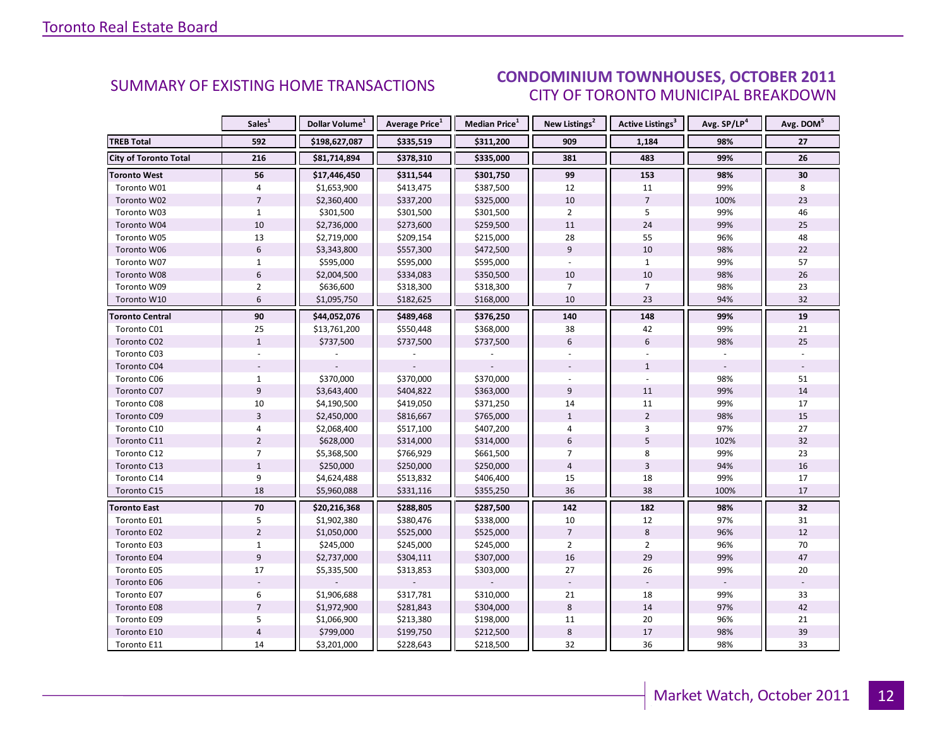### OCTORER 2011 CITY OF TORONTO MUNICIPAL BREAKDOWN SUMMARY OF EXISTING HOME TRANSACTIONS **CONDOMINIUM TOWNHOUSES, OCTOBER 2011**

<span id="page-11-0"></span>

|                              | Sales <sup>1</sup> | Dollar Volume <sup>1</sup> | <b>Average Price</b> <sup>1</sup> | Median Price <sup>1</sup> | New Listings <sup>2</sup> | Active Listings <sup>3</sup> | Avg. SP/LP <sup>4</sup> | Avg. DOM <sup>5</sup> |
|------------------------------|--------------------|----------------------------|-----------------------------------|---------------------------|---------------------------|------------------------------|-------------------------|-----------------------|
| <b>TREB Total</b>            | 592                | \$198,627,087              | \$335,519                         | \$311,200                 | 909                       | 1,184                        | 98%                     | 27                    |
| <b>City of Toronto Total</b> | 216                | \$81,714,894               | \$378,310                         | \$335,000                 | 381                       | 483                          | 99%                     | 26                    |
| <b>Toronto West</b>          | 56                 | \$17,446,450               | \$311,544                         | \$301,750                 | 99                        | 153                          | 98%                     | 30                    |
| Toronto W01                  | 4                  | \$1,653,900                | \$413,475                         | \$387,500                 | 12                        | 11                           | 99%                     | 8                     |
| Toronto W02                  | $\overline{7}$     | \$2,360,400                | \$337,200                         | \$325,000                 | 10                        | $\overline{7}$               | 100%                    | 23                    |
| Toronto W03                  | $\mathbf{1}$       | \$301,500                  | \$301,500                         | \$301,500                 | $\overline{2}$            | 5                            | 99%                     | 46                    |
| Toronto W04                  | $10\,$             | \$2,736,000                | \$273,600                         | \$259,500                 | 11                        | 24                           | 99%                     | 25                    |
| Toronto W05                  | 13                 | \$2,719,000                | \$209,154                         | \$215,000                 | 28                        | 55                           | 96%                     | 48                    |
| Toronto W06                  | 6                  | \$3,343,800                | \$557,300                         | \$472,500                 | 9                         | 10                           | 98%                     | 22                    |
| Toronto W07                  | $\mathbf{1}$       | \$595,000                  | \$595,000                         | \$595,000                 |                           | $\mathbf{1}$                 | 99%                     | 57                    |
| Toronto W08                  | $\boldsymbol{6}$   | \$2,004,500                | \$334,083                         | \$350,500                 | 10                        | 10                           | 98%                     | 26                    |
| Toronto W09                  | $\overline{2}$     | \$636,600                  | \$318,300                         | \$318,300                 | $\overline{7}$            | $\overline{7}$               | 98%                     | 23                    |
| Toronto W10                  | 6                  | \$1,095,750                | \$182,625                         | \$168,000                 | 10                        | 23                           | 94%                     | 32                    |
| <b>Toronto Central</b>       | 90                 | \$44,052,076               | \$489,468                         | \$376,250                 | 140                       | 148                          | 99%                     | 19                    |
| Toronto C01                  | 25                 | \$13,761,200               | \$550,448                         | \$368,000                 | 38                        | 42                           | 99%                     | 21                    |
| Toronto C02                  | $\mathbf{1}$       | \$737,500                  | \$737,500                         | \$737,500                 | 6                         | 6                            | 98%                     | 25                    |
| Toronto C03                  |                    |                            |                                   |                           |                           |                              |                         |                       |
| Toronto C04                  |                    |                            |                                   |                           |                           | $\mathbf{1}$                 |                         |                       |
| Toronto C06                  | $\mathbf{1}$       | \$370,000                  | \$370,000                         | \$370,000                 |                           |                              | 98%                     | 51                    |
| Toronto C07                  | 9                  | \$3,643,400                | \$404,822                         | \$363,000                 | 9                         | 11                           | 99%                     | 14                    |
| Toronto C08                  | 10                 | \$4,190,500                | \$419,050                         | \$371,250                 | 14                        | 11                           | 99%                     | 17                    |
| Toronto C09                  | $\overline{3}$     | \$2,450,000                | \$816,667                         | \$765,000                 | $\mathbf{1}$              | $\overline{2}$               | 98%                     | 15                    |
| Toronto C10                  | $\overline{4}$     | \$2,068,400                | \$517,100                         | \$407,200                 | $\overline{4}$            | $\overline{3}$               | 97%                     | 27                    |
| Toronto C11                  | $\overline{2}$     | \$628,000                  | \$314,000                         | \$314,000                 | 6                         | 5                            | 102%                    | 32                    |
| Toronto C12                  | $\overline{7}$     | \$5,368,500                | \$766,929                         | \$661,500                 | $\overline{7}$            | 8                            | 99%                     | 23                    |
| Toronto C13                  | $1\,$              | \$250,000                  | \$250,000                         | \$250,000                 | $\overline{4}$            | $\overline{3}$               | 94%                     | 16                    |
| Toronto C14                  | 9                  | \$4,624,488                | \$513,832                         | \$406,400                 | 15                        | 18                           | 99%                     | 17                    |
| Toronto C15                  | 18                 | \$5,960,088                | \$331,116                         | \$355,250                 | 36                        | 38                           | 100%                    | 17                    |
| <b>Toronto East</b>          | 70                 | \$20,216,368               | \$288,805                         | \$287,500                 | 142                       | 182                          | 98%                     | 32                    |
| Toronto E01                  | 5                  | \$1,902,380                | \$380,476                         | \$338,000                 | 10                        | 12                           | 97%                     | 31                    |
| Toronto E02                  | $\overline{2}$     | \$1,050,000                | \$525,000                         | \$525,000                 | $\overline{7}$            | 8                            | 96%                     | 12                    |
| Toronto E03                  | $\mathbf{1}$       | \$245,000                  | \$245,000                         | \$245,000                 | $\overline{2}$            | $\overline{2}$               | 96%                     | 70                    |
| Toronto E04                  | $\overline{9}$     | \$2,737,000                | \$304,111                         | \$307,000                 | 16                        | 29                           | 99%                     | 47                    |
| Toronto E05                  | 17                 | \$5,335,500                | \$313,853                         | \$303,000                 | 27                        | 26                           | 99%                     | 20                    |
| Toronto E06                  |                    |                            |                                   |                           |                           |                              |                         |                       |
| Toronto E07                  | 6                  | \$1,906,688                | \$317,781                         | \$310,000                 | 21                        | 18                           | 99%                     | 33                    |
| Toronto E08                  | $\overline{7}$     | \$1,972,900                | \$281,843                         | \$304,000                 | $\bf 8$                   | 14                           | 97%                     | 42                    |
| Toronto E09                  | 5                  | \$1,066,900                | \$213,380                         | \$198,000                 | 11                        | 20                           | 96%                     | 21                    |
| Toronto E10                  | $\overline{4}$     | \$799,000                  | \$199,750                         | \$212,500                 | $\bf 8$                   | 17                           | 98%                     | 39                    |
| Toronto E11                  | 14                 | \$3,201,000                | \$228,643                         | \$218,500                 | 32                        | 36                           | 98%                     | 33                    |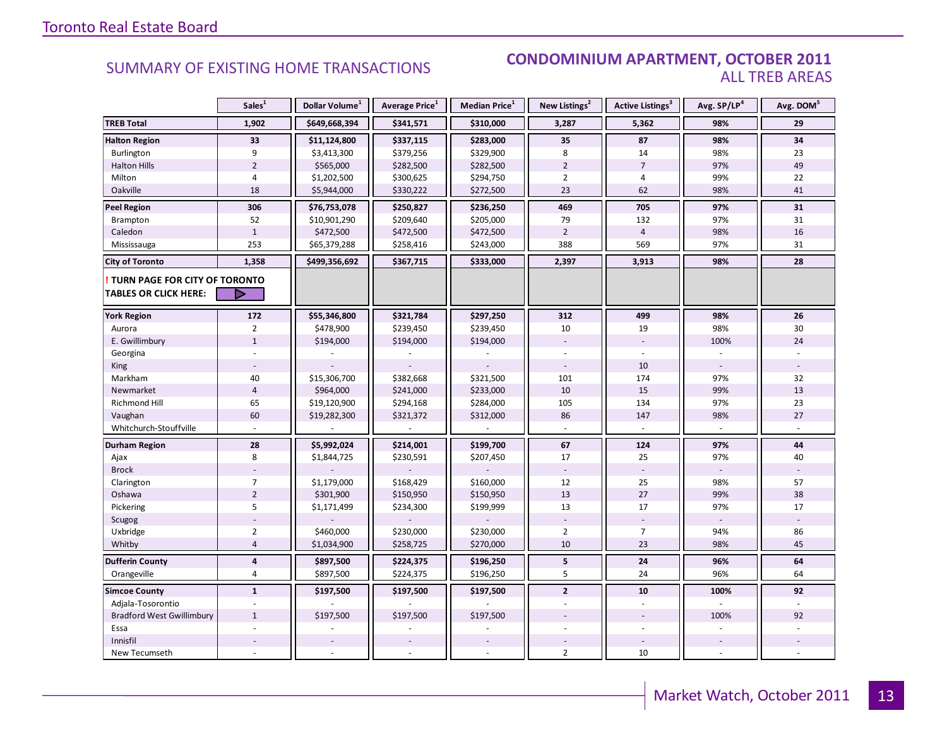### SUMMARY OF EXISTING HOME TRANSACTIONS **CONDOMINIUM APARTMENT, OCTOBER 2011** ALL TREB AREAS

|                                                                        | Sales <sup>1</sup>      | Dollar Volume <sup>1</sup> | Average Price <sup>1</sup> | Median Price <sup>1</sup> | New Listings <sup>2</sup> | Active Listings <sup>3</sup> | Avg. SP/LP <sup>4</sup> | Avg. DOM <sup>5</sup> |
|------------------------------------------------------------------------|-------------------------|----------------------------|----------------------------|---------------------------|---------------------------|------------------------------|-------------------------|-----------------------|
| <b>TREB Total</b>                                                      | 1,902                   | \$649,668,394              | \$341,571                  | \$310,000                 | 3,287                     | 5,362                        | 98%                     | 29                    |
| <b>Halton Region</b>                                                   | 33                      | \$11,124,800               | \$337,115                  | \$283,000                 | 35                        | 87                           | 98%                     | 34                    |
| Burlington                                                             | 9                       | \$3,413,300                | \$379,256                  | \$329,900                 | 8                         | 14                           | 98%                     | 23                    |
| <b>Halton Hills</b>                                                    | $\overline{2}$          | \$565,000                  | \$282,500                  | \$282,500                 | $\overline{2}$            | $\overline{7}$               | 97%                     | 49                    |
| Milton                                                                 | 4                       | \$1,202,500                | \$300,625                  | \$294,750                 | $\overline{2}$            | 4                            | 99%                     | 22                    |
| Oakville                                                               | 18                      | \$5,944,000                | \$330,222                  | \$272,500                 | 23                        | 62                           | 98%                     | 41                    |
| <b>Peel Region</b>                                                     | 306                     | \$76,753,078               | \$250,827                  | \$236,250                 | 469                       | 705                          | 97%                     | 31                    |
| <b>Brampton</b>                                                        | 52                      | \$10,901,290               | \$209,640                  | \$205,000                 | 79                        | 132                          | 97%                     | 31                    |
| Caledon                                                                | $\mathbf{1}$            | \$472,500                  | \$472,500                  | \$472,500                 | $\overline{2}$            | $\overline{4}$               | 98%                     | 16                    |
| Mississauga                                                            | 253                     | \$65,379,288               | \$258,416                  | \$243,000                 | 388                       | 569                          | 97%                     | 31                    |
| <b>City of Toronto</b>                                                 | 1,358                   | \$499,356,692              | \$367,715                  | \$333,000                 | 2,397                     | 3,913                        | 98%                     | 28                    |
| <b>! TURN PAGE FOR CITY OF TORONTO</b><br><b>TABLES OR CLICK HERE:</b> | ▷                       |                            |                            |                           |                           |                              |                         |                       |
| <b>York Region</b>                                                     | 172                     | \$55,346,800               | \$321,784                  | \$297,250                 | 312                       | 499                          | 98%                     | 26                    |
| Aurora                                                                 | $\overline{2}$          | \$478,900                  | \$239,450                  | \$239,450                 | 10                        | 19                           | 98%                     | 30                    |
| E. Gwillimbury                                                         | $\mathbf{1}$            | \$194,000                  | \$194,000                  | \$194,000                 |                           |                              | 100%                    | 24                    |
| Georgina                                                               |                         |                            |                            |                           |                           |                              |                         |                       |
| King                                                                   |                         |                            |                            |                           |                           | 10                           |                         |                       |
| Markham                                                                | 40                      | \$15,306,700               | \$382,668                  | \$321,500                 | 101                       | 174                          | 97%                     | 32                    |
| Newmarket                                                              | $\overline{4}$          | \$964,000                  | \$241,000                  | \$233,000                 | 10                        | 15                           | 99%                     | 13                    |
| <b>Richmond Hill</b>                                                   | 65                      | \$19,120,900               | \$294,168                  | \$284,000                 | 105                       | 134                          | 97%                     | 23                    |
| Vaughan                                                                | 60                      | \$19,282,300               | \$321,372                  | \$312,000                 | 86                        | 147                          | 98%                     | 27                    |
| Whitchurch-Stouffville                                                 |                         |                            |                            |                           |                           |                              |                         |                       |
| Durham Region                                                          | 28                      | \$5,992,024                | \$214,001                  | \$199,700                 | 67                        | 124                          | 97%                     | 44                    |
| Ajax                                                                   | 8                       | \$1,844,725                | \$230,591                  | \$207,450                 | 17                        | 25                           | 97%                     | 40                    |
| <b>Brock</b>                                                           |                         |                            |                            |                           |                           |                              |                         |                       |
| Clarington                                                             | $\overline{7}$          | \$1,179,000                | \$168,429                  | \$160,000                 | 12                        | 25                           | 98%                     | 57                    |
| Oshawa                                                                 | $\overline{2}$          | \$301,900                  | \$150,950                  | \$150,950                 | 13                        | $27\,$                       | 99%                     | 38                    |
| Pickering                                                              | 5                       | \$1,171,499                | \$234,300                  | \$199,999                 | 13                        | 17                           | 97%                     | 17                    |
| Scugog                                                                 |                         |                            |                            |                           |                           |                              |                         |                       |
| Uxbridge                                                               | $\overline{2}$          | \$460,000                  | \$230,000                  | \$230,000                 | $\overline{2}$            | $\overline{7}$               | 94%                     | 86                    |
| Whitby                                                                 | $\overline{4}$          | \$1,034,900                | \$258,725                  | \$270,000                 | 10                        | 23                           | 98%                     | 45                    |
| <b>Dufferin County</b>                                                 | $\overline{\mathbf{4}}$ | \$897,500                  | \$224,375                  | \$196,250                 | $5\phantom{.0}$           | 24                           | 96%                     | 64                    |
| Orangeville                                                            | $\overline{4}$          | \$897,500                  | \$224,375                  | \$196,250                 | 5                         | 24                           | 96%                     | 64                    |
| <b>Simcoe County</b>                                                   | $\mathbf{1}$            | \$197,500                  | \$197,500                  | \$197,500                 | $\overline{2}$            | 10                           | 100%                    | 92                    |
| Adjala-Tosorontio                                                      |                         |                            |                            |                           |                           |                              |                         |                       |
| <b>Bradford West Gwillimbury</b>                                       | $\mathbf{1}$            | \$197,500                  | \$197,500                  | \$197,500                 |                           |                              | 100%                    | 92                    |
| Essa                                                                   |                         |                            |                            |                           |                           |                              |                         |                       |
| Innisfil                                                               |                         |                            |                            |                           |                           |                              |                         |                       |
| New Tecumseth                                                          |                         |                            |                            |                           | $\overline{2}$            | 10                           |                         |                       |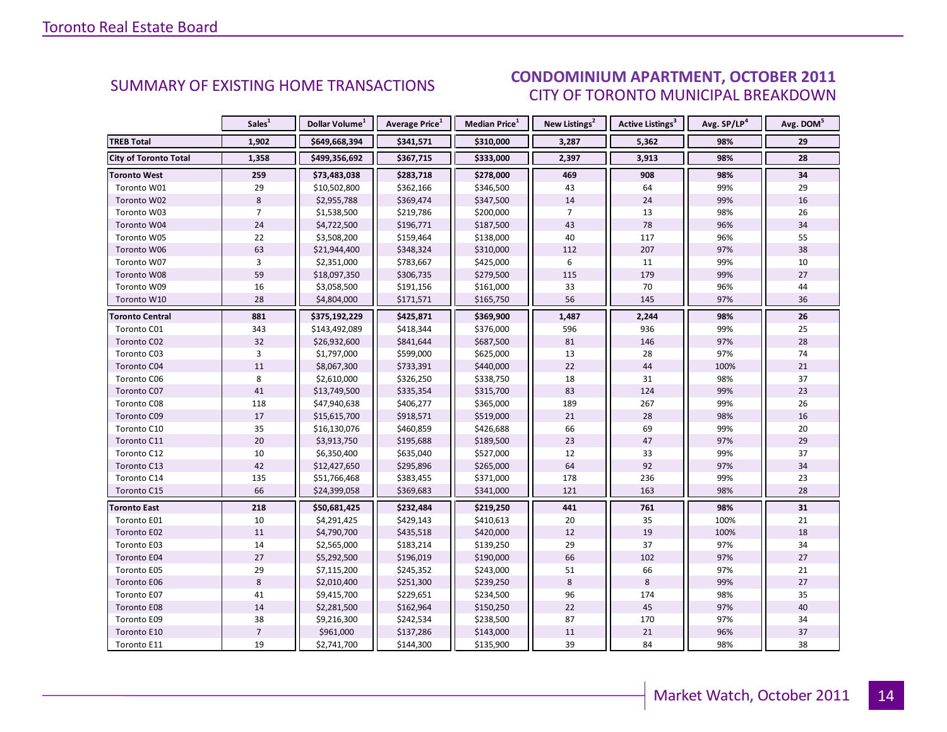### OCTORER 2011 CITY OF TORONTO MUNICIPAL BREAKDOWN **CONDOMINIUM APARTMENT, OCTOBER 2011**<br>CITY OF TOPONTO MILINICIPAL PREAKDOMAL

<span id="page-13-0"></span>

|                              | Sales <sup>1</sup> | Dollar Volume <sup>1</sup> | <b>Average Price</b> <sup>1</sup> | <b>Median Price</b> <sup>1</sup> | New Listings <sup>2</sup> | <b>Active Listings<sup>3</sup></b> | Avg. SP/LP <sup>4</sup> | Avg. DOM <sup>5</sup> |
|------------------------------|--------------------|----------------------------|-----------------------------------|----------------------------------|---------------------------|------------------------------------|-------------------------|-----------------------|
| <b>TREB Total</b>            | 1,902              | \$649,668,394              | \$341,571                         | \$310,000                        | 3,287                     | 5,362                              | 98%                     | 29                    |
| <b>City of Toronto Total</b> | 1,358              | \$499,356,692              | \$367,715                         | \$333,000                        | 2,397                     | 3,913                              | 98%                     | 28                    |
| <b>Toronto West</b>          | 259                | \$73,483,038               | \$283,718                         | \$278,000                        | 469                       | 908                                | 98%                     | 34                    |
| Toronto W01                  | 29                 | \$10,502,800               | \$362,166                         | \$346,500                        | 43                        | 64                                 | 99%                     | 29                    |
| Toronto W02                  | $\,8\,$            | \$2,955,788                | \$369,474                         | \$347,500                        | 14                        | 24                                 | 99%                     | 16                    |
| Toronto W03                  | $\overline{7}$     | \$1,538,500                | \$219,786                         | \$200,000                        | $\overline{7}$            | 13                                 | 98%                     | 26                    |
| Toronto W04                  | 24                 | \$4,722,500                | \$196,771                         | \$187,500                        | 43                        | 78                                 | 96%                     | 34                    |
| Toronto W05                  | 22                 | \$3,508,200                | \$159,464                         | \$138,000                        | 40                        | 117                                | 96%                     | 55                    |
| Toronto W06                  | 63                 | \$21,944,400               | \$348,324                         | \$310,000                        | 112                       | 207                                | 97%                     | 38                    |
| Toronto W07                  | 3                  | \$2,351,000                | \$783,667                         | \$425,000                        | 6                         | 11                                 | 99%                     | 10                    |
| Toronto W08                  | 59                 | \$18,097,350               | \$306,735                         | \$279,500                        | 115                       | 179                                | 99%                     | 27                    |
| Toronto W09                  | 16                 | \$3,058,500                | \$191,156                         | \$161,000                        | 33                        | 70                                 | 96%                     | 44                    |
| Toronto W10                  | 28                 | \$4,804,000                | \$171,571                         | \$165,750                        | 56                        | 145                                | 97%                     | 36                    |
| <b>Toronto Central</b>       | 881                | \$375,192,229              | \$425,871                         | \$369,900                        | 1,487                     | 2,244                              | 98%                     | 26                    |
| Toronto C01                  | 343                | \$143,492,089              | \$418,344                         | \$376,000                        | 596                       | 936                                | 99%                     | 25                    |
| Toronto C02                  | 32                 | \$26,932,600               | \$841,644                         | \$687,500                        | 81                        | 146                                | 97%                     | 28                    |
| Toronto C03                  | 3                  | \$1,797,000                | \$599,000                         | \$625,000                        | 13                        | 28                                 | 97%                     | 74                    |
| Toronto C04                  | 11                 | \$8,067,300                | \$733,391                         | \$440,000                        | 22                        | 44                                 | 100%                    | 21                    |
| Toronto C06                  | 8                  | \$2,610,000                | \$326,250                         | \$338,750                        | 18                        | 31                                 | 98%                     | 37                    |
| Toronto C07                  | 41                 | \$13,749,500               | \$335,354                         | \$315,700                        | 83                        | 124                                | 99%                     | 23                    |
| Toronto C08                  | 118                | \$47,940,638               | \$406,277                         | \$365,000                        | 189                       | 267                                | 99%                     | 26                    |
| Toronto C09                  | 17                 | \$15,615,700               | \$918,571                         | \$519,000                        | 21                        | 28                                 | 98%                     | 16                    |
| Toronto C10                  | 35                 | \$16,130,076               | \$460,859                         | \$426,688                        | 66                        | 69                                 | 99%                     | 20                    |
| Toronto C11                  | 20                 | \$3,913,750                | \$195,688                         | \$189,500                        | 23                        | 47                                 | 97%                     | 29                    |
| Toronto C12                  | $10\,$             | \$6,350,400                | \$635,040                         | \$527,000                        | 12                        | 33                                 | 99%                     | 37                    |
| Toronto C13                  | 42                 | \$12,427,650               | \$295,896                         | \$265,000                        | 64                        | 92                                 | 97%                     | 34                    |
| Toronto C14                  | 135                | \$51,766,468               | \$383,455                         | \$371,000                        | 178                       | 236                                | 99%                     | 23                    |
| Toronto C15                  | 66                 | \$24,399,058               | \$369,683                         | \$341,000                        | 121                       | 163                                | 98%                     | 28                    |
| <b>Toronto East</b>          | 218                | \$50,681,425               | \$232,484                         | \$219,250                        | 441                       | 761                                | 98%                     | 31                    |
| Toronto E01                  | 10                 | \$4,291,425                | \$429,143                         | \$410,613                        | 20                        | 35                                 | 100%                    | 21                    |
| Toronto E02                  | 11                 | \$4,790,700                | \$435,518                         | \$420,000                        | 12                        | 19                                 | 100%                    | 18                    |
| Toronto E03                  | 14                 | \$2,565,000                | \$183,214                         | \$139,250                        | 29                        | 37                                 | 97%                     | 34                    |
| Toronto E04                  | 27                 | \$5,292,500                | \$196,019                         | \$190,000                        | 66                        | 102                                | 97%                     | 27                    |
| Toronto E05                  | 29                 | \$7,115,200                | \$245,352                         | \$243,000                        | 51                        | 66                                 | 97%                     | 21                    |
| Toronto E06                  | $\,8\,$            | \$2,010,400                | \$251,300                         | \$239,250                        | 8                         | 8                                  | 99%                     | 27                    |
| Toronto E07                  | 41                 | \$9,415,700                | \$229,651                         | \$234,500                        | 96                        | 174                                | 98%                     | 35                    |
| Toronto E08                  | 14                 | \$2,281,500                | \$162,964                         | \$150,250                        | 22                        | 45                                 | 97%                     | 40                    |
| Toronto E09                  | 38                 | \$9,216,300                | \$242,534                         | \$238,500                        | 87                        | 170                                | 97%                     | 34                    |
| Toronto E10                  | $\overline{7}$     | \$961,000                  | \$137,286                         | \$143,000                        | 11                        | 21                                 | 96%                     | 37                    |
| Toronto E11                  | 19                 | \$2,741,700                | \$144,300                         | \$135,900                        | 39                        | 84                                 | 98%                     | 38                    |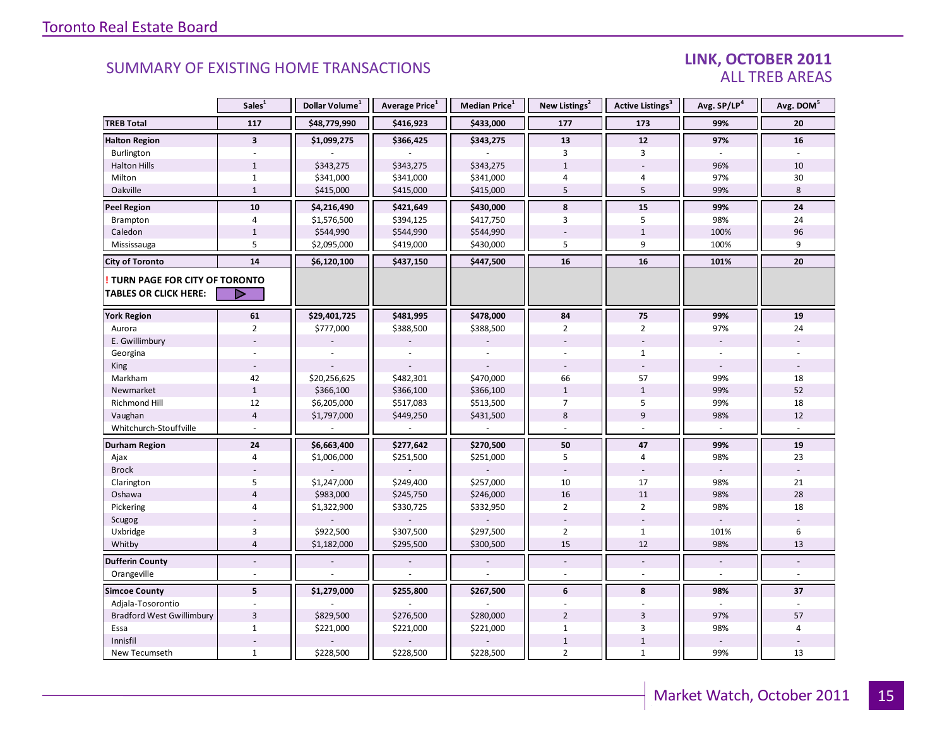### LINK, OCTOBER 2011 ALL TREB AREAS

|                                                                        | Sales <sup>1</sup>      | Dollar Volume <sup>1</sup> | Average Price <sup>1</sup> | Median Price <sup>1</sup> | New Listings <sup>2</sup> | <b>Active Listings</b> <sup>3</sup> | Avg. SP/LP <sup>4</sup> | Avg. DOM <sup>5</sup> |
|------------------------------------------------------------------------|-------------------------|----------------------------|----------------------------|---------------------------|---------------------------|-------------------------------------|-------------------------|-----------------------|
| <b>TREB Total</b>                                                      | 117                     | \$48,779,990               | \$416,923                  | \$433,000                 | 177                       | 173                                 | 99%                     | 20                    |
| <b>Halton Region</b>                                                   | $\overline{\mathbf{3}}$ | \$1,099,275                | \$366,425                  | \$343,275                 | 13                        | 12                                  | 97%                     | 16                    |
| Burlington                                                             | $\omega$                |                            |                            |                           | 3                         | $\overline{3}$                      | $\overline{a}$          |                       |
| <b>Halton Hills</b>                                                    | $\mathbf{1}$            | \$343,275                  | \$343,275                  | \$343,275                 | $\mathbf{1}$              |                                     | 96%                     | 10                    |
| Milton                                                                 | $\mathbf{1}$            | \$341,000                  | \$341,000                  | \$341,000                 | 4                         | 4                                   | 97%                     | 30                    |
| Oakville                                                               | $\mathbf{1}$            | \$415,000                  | \$415,000                  | \$415,000                 | 5                         | 5                                   | 99%                     | 8                     |
| <b>Peel Region</b>                                                     | 10                      | \$4,216,490                | \$421,649                  | \$430,000                 | 8                         | 15                                  | 99%                     | $24$                  |
| Brampton                                                               | $\overline{4}$          | \$1,576,500                | \$394,125                  | \$417,750                 | 3                         | 5                                   | 98%                     | 24                    |
| Caledon                                                                | $\mathbf 1$             | \$544,990                  | \$544,990                  | \$544,990                 |                           | $\mathbf{1}$                        | 100%                    | 96                    |
| Mississauga                                                            | 5                       | \$2,095,000                | \$419,000                  | \$430,000                 | 5                         | 9                                   | 100%                    | 9                     |
| <b>City of Toronto</b>                                                 | 14                      | \$6,120,100                | \$437,150                  | \$447,500                 | 16                        | 16                                  | 101%                    | 20                    |
| <b>! TURN PAGE FOR CITY OF TORONTO</b><br><b>TABLES OR CLICK HERE:</b> | ▷                       |                            |                            |                           |                           |                                     |                         |                       |
| <b>York Region</b>                                                     | 61                      | \$29,401,725               | \$481,995                  | \$478,000                 | 84                        | 75                                  | 99%                     | ${\bf 19}$            |
| Aurora                                                                 | $\overline{2}$          | \$777,000                  | \$388,500                  | \$388,500                 | $\overline{2}$            | $\overline{2}$                      | 97%                     | 24                    |
| E. Gwillimbury                                                         |                         |                            |                            |                           |                           |                                     |                         |                       |
| Georgina                                                               |                         |                            |                            |                           |                           | $\mathbf{1}$                        |                         |                       |
| King                                                                   |                         |                            |                            |                           |                           |                                     |                         |                       |
| Markham                                                                | 42                      | \$20,256,625               | \$482,301                  | \$470,000                 | 66                        | 57                                  | 99%                     | 18                    |
| Newmarket                                                              | $\mathbf 1$             | \$366,100                  | \$366,100                  | \$366,100                 | $1\,$                     | $\mathbf{1}$                        | 99%                     | 52                    |
| Richmond Hill                                                          | 12                      | \$6,205,000                | \$517,083                  | \$513,500                 | $\overline{7}$            | 5                                   | 99%                     | 18                    |
| Vaughan                                                                | $\overline{4}$          | \$1,797,000                | \$449,250                  | \$431,500                 | 8                         | $\overline{9}$                      | 98%                     | 12                    |
| Whitchurch-Stouffville                                                 |                         |                            |                            |                           |                           |                                     |                         |                       |
| <b>Durham Region</b>                                                   | 24                      | \$6,663,400                | \$277,642                  | \$270,500                 | 50                        | 47                                  | 99%                     | ${\bf 19}$            |
| Ajax                                                                   | $\overline{4}$          | \$1,006,000                | \$251,500                  | \$251,000                 | 5                         | $\overline{4}$                      | 98%                     | 23                    |
| <b>Brock</b>                                                           |                         |                            |                            |                           |                           |                                     |                         |                       |
| Clarington                                                             | 5                       | \$1,247,000                | \$249,400                  | \$257,000                 | 10                        | 17                                  | 98%                     | 21                    |
| Oshawa                                                                 | $\overline{4}$          | \$983,000                  | \$245,750                  | \$246,000                 | 16                        | 11                                  | 98%                     | 28                    |
| Pickering                                                              | $\overline{4}$          | \$1,322,900                | \$330,725                  | \$332,950                 | $\overline{2}$            | $\overline{2}$                      | 98%                     | 18                    |
| Scugog                                                                 |                         |                            |                            |                           |                           | ÷                                   |                         |                       |
| Uxbridge                                                               | $\overline{3}$          | \$922,500                  | \$307,500                  | \$297,500                 | $\overline{2}$            | $\mathbf{1}$                        | 101%                    | 6                     |
| Whitby                                                                 | $\overline{4}$          | \$1,182,000                | \$295,500                  | \$300,500                 | 15                        | 12                                  | 98%                     | 13                    |
| <b>Dufferin County</b>                                                 | $\overline{a}$          |                            |                            |                           | $\sim$                    | $\overline{a}$                      |                         |                       |
| Orangeville                                                            | ÷.                      |                            |                            |                           |                           | $\overline{a}$                      |                         |                       |
| <b>Simcoe County</b>                                                   | 5                       | \$1,279,000                | \$255,800                  | \$267,500                 | 6                         | 8                                   | 98%                     | 37                    |
| Adjala-Tosorontio                                                      |                         |                            |                            |                           |                           |                                     |                         |                       |
| <b>Bradford West Gwillimbury</b>                                       | $\overline{3}$          | \$829,500                  | \$276,500                  | \$280,000                 | $\overline{2}$            | $\overline{3}$                      | 97%                     | 57                    |
| Essa                                                                   | $\mathbf{1}$            | \$221,000                  | \$221,000                  | \$221,000                 | $\mathbf{1}$              | 3                                   | 98%                     | 4                     |
| Innisfil                                                               |                         |                            |                            |                           | $1\,$                     | $\mathbf{1}$                        |                         |                       |
| New Tecumseth                                                          | $\mathbf{1}$            | \$228,500                  | \$228,500                  | \$228,500                 | $\overline{2}$            | $\mathbf{1}$                        | 99%                     | 13                    |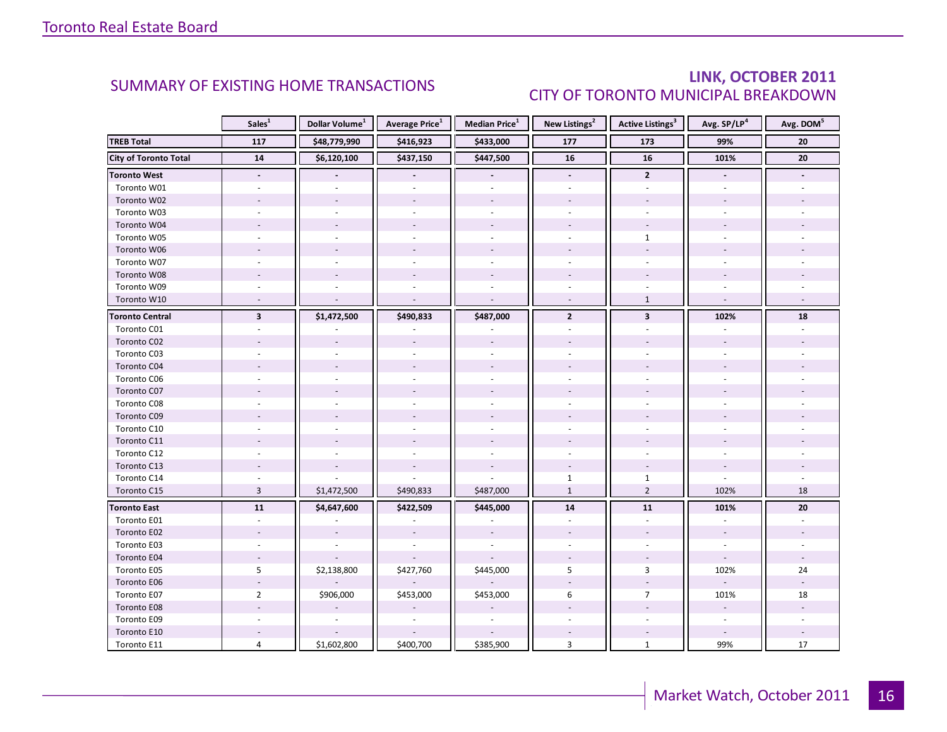### LINK, OCTOBER 2011 CITY OF TORONTO MUNICIPAL BREAKDOWN

<span id="page-15-0"></span>

|                              | Sales <sup>1</sup>       | Dollar Volume <sup>1</sup> | <b>Average Price</b> <sup>1</sup> | Median Price <sup>1</sup> | New Listings <sup>2</sup> | <b>Active Listings<sup>3</sup></b> | Avg. SP/LP <sup>4</sup> | Avg. DOM <sup>5</sup> |
|------------------------------|--------------------------|----------------------------|-----------------------------------|---------------------------|---------------------------|------------------------------------|-------------------------|-----------------------|
| <b>TREB Total</b>            | 117                      | \$48,779,990               | \$416,923                         | \$433,000                 | 177                       | 173                                | 99%                     | ${\bf 20}$            |
| <b>City of Toronto Total</b> | 14                       | \$6,120,100                | \$437,150                         | \$447,500                 | 16                        | 16                                 | 101%                    | $\overline{20}$       |
| <b>Toronto West</b>          | $\overline{\phantom{a}}$ |                            |                                   |                           | $\overline{\phantom{a}}$  | $\overline{2}$                     |                         |                       |
| Toronto W01                  |                          |                            |                                   |                           |                           |                                    |                         |                       |
| Toronto W02                  |                          |                            |                                   |                           |                           |                                    |                         |                       |
| Toronto W03                  |                          |                            |                                   |                           |                           |                                    |                         |                       |
| Toronto W04                  |                          |                            |                                   |                           |                           |                                    |                         |                       |
| Toronto W05                  |                          |                            |                                   |                           |                           | $\mathbf{1}$                       |                         |                       |
| Toronto W06                  |                          |                            |                                   |                           |                           |                                    |                         |                       |
| Toronto W07                  |                          |                            |                                   |                           |                           |                                    |                         |                       |
| Toronto W08                  |                          |                            |                                   |                           |                           |                                    |                         |                       |
| Toronto W09                  |                          |                            |                                   |                           |                           |                                    |                         |                       |
| Toronto W10                  |                          |                            |                                   | $\overline{a}$            |                           | $\mathbf{1}$                       |                         |                       |
| <b>Toronto Central</b>       | $\overline{\mathbf{3}}$  | \$1,472,500                | \$490,833                         | \$487,000                 | $\overline{2}$            | $\overline{\mathbf{3}}$            | 102%                    | 18                    |
| Toronto C01                  |                          |                            |                                   |                           |                           |                                    |                         |                       |
| Toronto C02                  |                          |                            |                                   |                           |                           |                                    |                         |                       |
| Toronto C03                  |                          |                            |                                   |                           |                           |                                    |                         |                       |
| Toronto C04                  |                          |                            |                                   |                           |                           |                                    |                         |                       |
| Toronto C06                  |                          |                            |                                   |                           |                           |                                    |                         |                       |
| Toronto C07                  |                          |                            |                                   |                           |                           |                                    |                         |                       |
| Toronto C08                  |                          |                            |                                   |                           |                           |                                    |                         |                       |
| Toronto C09                  |                          |                            |                                   |                           |                           |                                    |                         |                       |
| Toronto C10                  |                          |                            |                                   |                           |                           |                                    |                         |                       |
| Toronto C11                  |                          |                            |                                   |                           |                           |                                    |                         |                       |
| Toronto C12                  |                          |                            |                                   |                           |                           |                                    |                         |                       |
| Toronto C13                  |                          |                            |                                   |                           |                           |                                    |                         |                       |
| Toronto C14                  |                          |                            |                                   |                           | $\mathbf 1$               | $\mathbf{1}$                       |                         |                       |
| Toronto C15                  | $\overline{3}$           | \$1,472,500                | \$490,833                         | \$487,000                 | $\mathbf{1}$              | $\overline{2}$                     | 102%                    | 18                    |
| <b>Toronto East</b>          | 11                       | \$4,647,600                | \$422,509                         | \$445,000                 | 14                        | 11                                 | 101%                    | 20                    |
| Toronto E01                  |                          |                            |                                   |                           |                           |                                    |                         |                       |
| Toronto E02                  |                          |                            |                                   |                           |                           |                                    |                         |                       |
| Toronto E03                  |                          |                            |                                   |                           |                           |                                    |                         |                       |
| Toronto E04                  |                          |                            |                                   |                           |                           |                                    |                         |                       |
| Toronto E05                  | 5                        | \$2,138,800                | \$427,760                         | \$445,000                 | 5                         | 3                                  | 102%                    | 24                    |
| Toronto E06                  |                          |                            |                                   |                           |                           |                                    |                         |                       |
| Toronto E07                  | $\overline{2}$           | \$906,000                  | \$453,000                         | \$453,000                 | 6                         | $\overline{7}$                     | 101%                    | 18                    |
| Toronto E08                  |                          |                            |                                   |                           |                           |                                    |                         |                       |
| Toronto E09                  |                          |                            |                                   |                           |                           |                                    | $\sim$                  |                       |
| Toronto E10                  |                          |                            |                                   |                           |                           |                                    |                         |                       |
| Toronto E11                  | 4                        | \$1,602,800                | \$400,700                         | \$385,900                 | 3                         | $\mathbf{1}$                       | 99%                     | 17                    |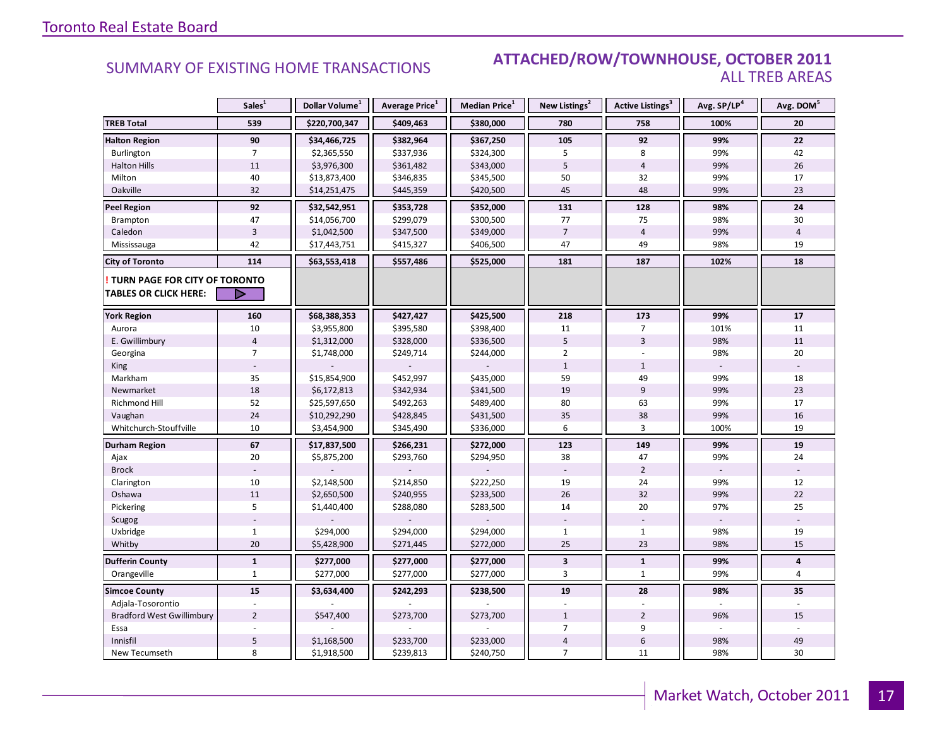### Industrial Leasing SUMMARY OF EXISTING HOME TRANSACTIONS **ATTACHED/ROW/TOWNHOUSE, OCTOBER 2011** ALL TREB AREAS

|                                  | Sales <sup>1</sup> | Dollar Volume <sup>1</sup> | Average Price <sup>1</sup> | <b>Median Price</b> <sup>1</sup> | New Listings <sup>2</sup> | Active Listings <sup>3</sup> | Avg. SP/LP <sup>4</sup> | Avg. DOM <sup>5</sup> |
|----------------------------------|--------------------|----------------------------|----------------------------|----------------------------------|---------------------------|------------------------------|-------------------------|-----------------------|
| <b>TREB Total</b>                | 539                | \$220,700,347              | \$409,463                  | \$380,000                        | 780                       | 758                          | 100%                    | 20                    |
| <b>Halton Region</b>             | 90                 | \$34,466,725               | \$382,964                  | \$367,250                        | 105                       | 92                           | 99%                     | 22                    |
| Burlington                       | $7\overline{ }$    | \$2,365,550                | \$337,936                  | \$324,300                        | 5                         | 8                            | 99%                     | 42                    |
| <b>Halton Hills</b>              | 11                 | \$3,976,300                | \$361,482                  | \$343,000                        | 5                         | $\overline{4}$               | 99%                     | 26                    |
| Milton                           | 40                 | \$13,873,400               | \$346,835                  | \$345,500                        | 50                        | 32                           | 99%                     | 17                    |
| Oakville                         | 32                 | \$14,251,475               | \$445,359                  | \$420,500                        | 45                        | 48                           | 99%                     | 23                    |
| <b>Peel Region</b>               | 92                 | \$32,542,951               | \$353,728                  | \$352,000                        | 131                       | 128                          | 98%                     | 24                    |
| Brampton                         | 47                 | \$14,056,700               | \$299,079                  | \$300,500                        | 77                        | 75                           | 98%                     | 30                    |
| Caledon                          | $\overline{3}$     | \$1,042,500                | \$347,500                  | \$349,000                        | $\overline{7}$            | $\overline{4}$               | 99%                     | $\overline{4}$        |
| Mississauga                      | 42                 | \$17,443,751               | \$415,327                  | \$406,500                        | 47                        | 49                           | 98%                     | 19                    |
| <b>City of Toronto</b>           | 114                | \$63,553,418               | \$557,486                  | \$525,000                        | 181                       | 187                          | 102%                    | 18                    |
| TURN PAGE FOR CITY OF TORONTO    |                    |                            |                            |                                  |                           |                              |                         |                       |
| <b>TABLES OR CLICK HERE:</b>     | D                  |                            |                            |                                  |                           |                              |                         |                       |
| <b>York Region</b>               | 160                | \$68,388,353               | \$427,427                  | \$425,500                        | 218                       | 173                          | 99%                     | 17                    |
| Aurora                           | 10                 | \$3,955,800                | \$395,580                  | \$398,400                        | 11                        | $\overline{7}$               | 101%                    | 11                    |
| E. Gwillimbury                   | $\overline{4}$     | \$1,312,000                | \$328,000                  | \$336,500                        | 5                         | 3                            | 98%                     | 11                    |
| Georgina                         | $\overline{7}$     | \$1,748,000                | \$249,714                  | \$244,000                        | $\overline{2}$            |                              | 98%                     | 20                    |
| King                             |                    |                            |                            |                                  | $\mathbf{1}$              | $\mathbf{1}$                 |                         |                       |
| Markham                          | 35                 | \$15,854,900               | \$452,997                  | \$435,000                        | 59                        | 49                           | 99%                     | 18                    |
| Newmarket                        | 18                 | \$6,172,813                | \$342,934                  | \$341,500                        | 19                        | 9                            | 99%                     | 23                    |
| Richmond Hill                    | 52                 | \$25,597,650               | \$492,263                  | \$489,400                        | 80                        | 63                           | 99%                     | 17                    |
| Vaughan                          | 24                 | \$10,292,290               | \$428,845                  | \$431,500                        | 35                        | 38                           | 99%                     | 16                    |
| Whitchurch-Stouffville           | 10                 | \$3,454,900                | \$345,490                  | \$336,000                        | 6                         | $\overline{3}$               | 100%                    | 19                    |
| Durham Region                    | 67                 | \$17,837,500               | \$266,231                  | \$272,000                        | 123                       | 149                          | 99%                     | 19                    |
| Ajax                             | 20                 | \$5,875,200                | \$293,760                  | \$294,950                        | 38                        | 47                           | 99%                     | 24                    |
| <b>Brock</b>                     |                    |                            |                            |                                  |                           | $\overline{2}$               |                         |                       |
| Clarington                       | 10                 | \$2,148,500                | \$214,850                  | \$222,250                        | 19                        | 24                           | 99%                     | 12                    |
| Oshawa                           | 11                 | \$2,650,500                | \$240,955                  | \$233,500                        | 26                        | 32                           | 99%                     | 22                    |
| Pickering                        | 5                  | \$1,440,400                | \$288,080                  | \$283,500                        | 14                        | 20                           | 97%                     | 25                    |
| Scugog                           |                    |                            |                            |                                  |                           |                              |                         |                       |
| Uxbridge                         | $\mathbf{1}$       | \$294,000                  | \$294,000                  | \$294,000                        | $\mathbf{1}$              | $\mathbf{1}$                 | 98%                     | 19                    |
| Whitby                           | 20                 | \$5,428,900                | \$271,445                  | \$272,000                        | 25                        | 23                           | 98%                     | 15                    |
| <b>Dufferin County</b>           | $\mathbf{1}$       | \$277,000                  | \$277,000                  | \$277,000                        | $\mathbf{3}$              | $\mathbf{1}$                 | 99%                     | 4                     |
| Orangeville                      | $\mathbf{1}$       | \$277,000                  | \$277,000                  | \$277,000                        | 3                         | $\mathbf{1}$                 | 99%                     | $\overline{4}$        |
| <b>Simcoe County</b>             | 15                 | \$3,634,400                | \$242,293                  | \$238,500                        | 19                        | 28                           | 98%                     | 35                    |
| Adjala-Tosorontio                |                    |                            |                            |                                  |                           |                              |                         |                       |
| <b>Bradford West Gwillimbury</b> | $\overline{2}$     | \$547,400                  | \$273,700                  | \$273,700                        | $\mathbf{1}$              | $\overline{2}$               | 96%                     | 15                    |
| Essa                             |                    |                            |                            |                                  | 7                         | 9                            |                         |                       |
| Innisfil                         | 5                  | \$1,168,500                | \$233,700                  | \$233,000                        | $\sqrt{4}$                | $\boldsymbol{6}$             | 98%                     | 49                    |
| New Tecumseth                    | 8                  | \$1,918,500                | \$239,813                  | \$240,750                        | $\overline{7}$            | 11                           | 98%                     | 30                    |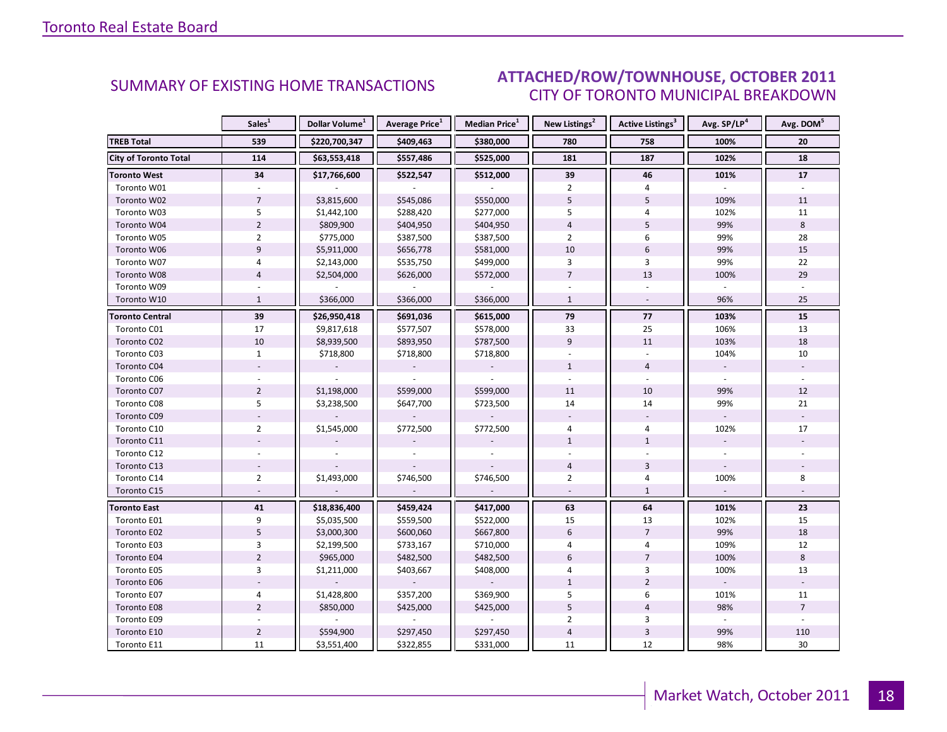### OCTORER 2011 CITY OF TORONTO MUNICIPAL BREAKDOWN SUMMARY OF EXISTING HOME TRANSACTIONS **ATTACHED/ROW/TOWNHOUSE, OCTOBER 2011**

<span id="page-17-0"></span>

|                              | Sales <sup>1</sup> | Dollar Volume <sup>1</sup> | <b>Average Price</b> <sup>1</sup> | Median Price <sup>1</sup> | New Listings <sup>2</sup> | Active Listings <sup>3</sup> | Avg. SP/LP <sup>4</sup> | Avg. DOM <sup>5</sup> |
|------------------------------|--------------------|----------------------------|-----------------------------------|---------------------------|---------------------------|------------------------------|-------------------------|-----------------------|
| <b>TREB Total</b>            | 539                | \$220,700,347              | \$409,463                         | \$380,000                 | 780                       | 758                          | 100%                    | 20                    |
| <b>City of Toronto Total</b> | 114                | \$63,553,418               | \$557,486                         | \$525,000                 | 181                       | 187                          | 102%                    | 18                    |
| <b>Toronto West</b>          | 34                 | \$17,766,600               | \$522,547                         | \$512,000                 | 39                        | 46                           | 101%                    | 17                    |
| Toronto W01                  |                    |                            |                                   |                           | $\overline{2}$            | 4                            |                         |                       |
| Toronto W02                  | $\overline{7}$     | \$3,815,600                | \$545,086                         | \$550,000                 | 5                         | 5                            | 109%                    | 11                    |
| Toronto W03                  | 5                  | \$1,442,100                | \$288,420                         | \$277,000                 | 5                         | 4                            | 102%                    | 11                    |
| Toronto W04                  | $\overline{2}$     | \$809,900                  | \$404,950                         | \$404,950                 | $\overline{4}$            | 5                            | 99%                     | 8                     |
| Toronto W05                  | $\overline{2}$     | \$775,000                  | \$387,500                         | \$387,500                 | $\overline{2}$            | 6                            | 99%                     | 28                    |
| Toronto W06                  | 9                  | \$5,911,000                | \$656,778                         | \$581,000                 | 10                        | 6                            | 99%                     | 15                    |
| Toronto W07                  | 4                  | \$2,143,000                | \$535,750                         | \$499,000                 | 3                         | 3                            | 99%                     | 22                    |
| Toronto W08                  | $\overline{4}$     | \$2,504,000                | \$626,000                         | \$572,000                 | $\overline{7}$            | 13                           | 100%                    | 29                    |
| Toronto W09                  |                    |                            |                                   |                           |                           |                              |                         |                       |
| Toronto W10                  | $\mathbf{1}$       | \$366,000                  | \$366,000                         | \$366,000                 | $\mathbf{1}$              | $\omega$                     | 96%                     | 25                    |
| <b>Toronto Central</b>       | 39                 | \$26,950,418               | \$691,036                         | \$615,000                 | 79                        | 77                           | 103%                    | 15                    |
| Toronto C01                  | 17                 | \$9,817,618                | \$577,507                         | \$578,000                 | 33                        | 25                           | 106%                    | 13                    |
| Toronto C02                  | 10                 | \$8,939,500                | \$893,950                         | \$787,500                 | 9                         | 11                           | 103%                    | 18                    |
| Toronto C03                  | $\mathbf{1}$       | \$718,800                  | \$718,800                         | \$718,800                 |                           |                              | 104%                    | 10                    |
| Toronto C04                  |                    |                            |                                   |                           | $\mathbf{1}$              | $\overline{4}$               |                         |                       |
| Toronto C06                  |                    |                            |                                   |                           |                           |                              |                         |                       |
| Toronto C07                  | $\overline{2}$     | \$1,198,000                | \$599,000                         | \$599,000                 | 11                        | 10                           | 99%                     | 12                    |
| Toronto C08                  | 5                  | \$3,238,500                | \$647,700                         | \$723,500                 | 14                        | 14                           | 99%                     | 21                    |
| Toronto C09                  |                    |                            |                                   |                           |                           |                              |                         |                       |
| Toronto C10                  | $\overline{2}$     | \$1,545,000                | \$772,500                         | \$772,500                 | 4                         | 4                            | 102%                    | 17                    |
| Toronto C11                  |                    |                            |                                   |                           | $\mathbf{1}$              | $\mathbf{1}$                 |                         |                       |
| Toronto C12                  |                    |                            |                                   |                           |                           |                              |                         |                       |
| Toronto C13                  |                    |                            |                                   |                           | $\overline{4}$            | $\overline{3}$               |                         |                       |
| Toronto C14                  | $\overline{2}$     | \$1,493,000                | \$746,500                         | \$746,500                 | $\overline{2}$            | 4                            | 100%                    | 8                     |
| Toronto C15                  |                    |                            |                                   |                           |                           | $\mathbf{1}$                 |                         |                       |
| <b>Toronto East</b>          | 41                 | \$18,836,400               | \$459,424                         | \$417,000                 | 63                        | 64                           | 101%                    | 23                    |
| Toronto E01                  | 9                  | \$5,035,500                | \$559,500                         | \$522,000                 | 15                        | 13                           | 102%                    | 15                    |
| Toronto E02                  | 5                  | \$3,000,300                | \$600,060                         | \$667,800                 | $6\,$                     | $\overline{7}$               | 99%                     | 18                    |
| Toronto E03                  | 3                  | \$2,199,500                | \$733,167                         | \$710,000                 | 4                         | 4                            | 109%                    | 12                    |
| Toronto E04                  | $\overline{2}$     | \$965,000                  | \$482,500                         | \$482,500                 | $6\overline{6}$           | $\overline{7}$               | 100%                    | 8                     |
| Toronto E05                  | $\overline{3}$     | \$1,211,000                | \$403,667                         | \$408,000                 | 4                         | 3                            | 100%                    | 13                    |
| Toronto E06                  |                    |                            |                                   |                           | $\mathbf{1}$              | $\overline{2}$               |                         |                       |
| Toronto E07                  | 4                  | \$1,428,800                | \$357,200                         | \$369,900                 | 5                         | 6                            | 101%                    | 11                    |
| <b>Toronto E08</b>           | $\overline{2}$     | \$850,000                  | \$425,000                         | \$425,000                 | 5                         | $\overline{4}$               | 98%                     | $\overline{7}$        |
| Toronto E09                  |                    |                            |                                   |                           | $\overline{2}$            | 3                            |                         |                       |
| Toronto E10                  | $\overline{2}$     | \$594,900                  | \$297,450                         | \$297,450                 | $\overline{4}$            | $\overline{3}$               | 99%                     | 110                   |
| Toronto E11                  | 11                 | \$3,551,400                | \$322,855                         | \$331,000                 | 11                        | 12                           | 98%                     | 30                    |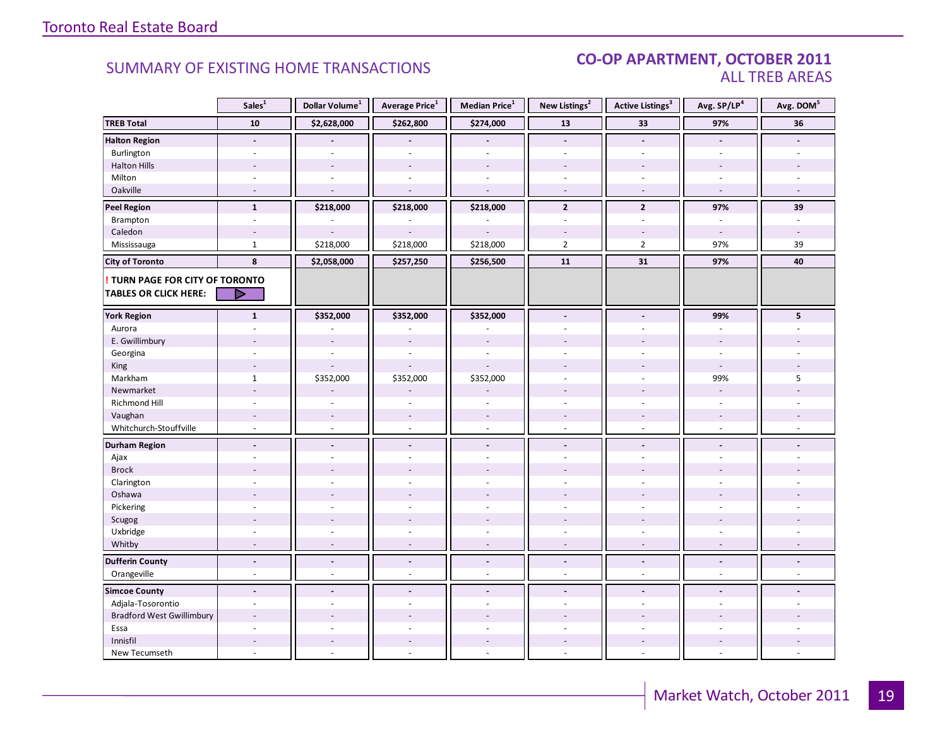### SUMMARY OF EXISTING HOME TRANSACTIONS **CO-OP APARTMENT, OCTOBER 2011** ALL TREB AREAS

|                                        | Sales <sup>1</sup>       | Dollar Volume $^1$       | Average Price <sup>1</sup> | Median Price <sup>1</sup> | New Listings <sup>2</sup> | <b>Active Listings<sup>3</sup></b> | Avg. SP/LP <sup>4</sup> | Avg. DOM <sup>5</sup> |
|----------------------------------------|--------------------------|--------------------------|----------------------------|---------------------------|---------------------------|------------------------------------|-------------------------|-----------------------|
| <b>TREB Total</b>                      | 10                       | \$2,628,000              | \$262,800                  | \$274,000                 | 13                        | 33                                 | 97%                     | 36                    |
| <b>Halton Region</b>                   | $\overline{\phantom{a}}$ |                          |                            |                           | $\sim$                    | $\overline{a}$                     | $\blacksquare$          |                       |
| Burlington                             |                          |                          |                            |                           |                           | ÷.                                 | ÷.                      |                       |
| <b>Halton Hills</b>                    |                          |                          |                            | $\overline{a}$            |                           |                                    |                         |                       |
| Milton                                 | ÷.                       | $\sim$                   |                            | ÷,                        | $\omega$                  | $\sim$                             | $\sim$                  |                       |
| Oakville                               | $\sim$                   | $\sim$                   | $\sim$                     | ÷.                        | $\sim$                    | $\sim$                             | $\sim$                  | $\sim$                |
| <b>Peel Region</b>                     | $\mathbf{1}$             | \$218,000                | \$218,000                  | \$218,000                 | $\mathbf{2}$              | $\overline{2}$                     | 97%                     | 39                    |
| Brampton                               | $\omega$                 |                          |                            |                           | $\omega$                  | $\omega$                           | $\sim$                  | $\sim$                |
| Caledon                                |                          |                          |                            |                           |                           |                                    | $\sim$                  |                       |
| Mississauga                            | $\mathbf{1}$             | \$218,000                | \$218,000                  | \$218,000                 | $\overline{2}$            | $\overline{2}$                     | 97%                     | 39                    |
| <b>City of Toronto</b>                 | 8                        | \$2,058,000              | \$257,250                  | \$256,500                 | 11                        | 31                                 | 97%                     | 40                    |
| <b>! TURN PAGE FOR CITY OF TORONTO</b> |                          |                          |                            |                           |                           |                                    |                         |                       |
| <b>TABLES OR CLICK HERE:</b>           | ▷                        |                          |                            |                           |                           |                                    |                         |                       |
| <b>York Region</b>                     | $\mathbf{1}$             | \$352,000                | \$352,000                  | \$352,000                 | $\blacksquare$            | $\blacksquare$                     | 99%                     | 5                     |
| Aurora                                 |                          |                          |                            |                           |                           |                                    | $\overline{a}$          |                       |
| E. Gwillimbury                         |                          | $\sim$                   |                            |                           |                           |                                    |                         |                       |
| Georgina                               |                          |                          |                            |                           |                           |                                    |                         |                       |
| King                                   | $\overline{a}$           | $\overline{a}$           |                            |                           |                           |                                    | $\sim$                  |                       |
| Markham                                | $\mathbf{1}$             | \$352,000                | \$352,000                  | \$352,000                 | $\overline{\phantom{a}}$  | ÷.                                 | 99%                     | 5                     |
| Newmarket                              |                          |                          |                            |                           |                           |                                    | $\overline{a}$          |                       |
| Richmond Hill                          |                          |                          |                            |                           |                           |                                    |                         |                       |
| Vaughan                                |                          | $\overline{\phantom{a}}$ | $\overline{\phantom{a}}$   | $\overline{a}$            |                           |                                    |                         |                       |
| Whitchurch-Stouffville                 | ÷.                       | $\sim$                   | $\omega$                   | $\overline{a}$            | $\omega$                  | ÷.                                 | $\mathcal{L}$           | $\sim$                |
| <b>Durham Region</b>                   | $\overline{a}$           | $\overline{a}$           | $\blacksquare$             | $\blacksquare$            | $\sim$                    | $\blacksquare$                     | $\blacksquare$          |                       |
| Ajax                                   |                          |                          |                            | ÷,                        | $\sim$                    | ÷.                                 | $\bar{a}$               |                       |
| <b>Brock</b>                           |                          |                          |                            |                           |                           |                                    |                         |                       |
| Clarington                             |                          |                          |                            |                           |                           |                                    |                         |                       |
| Oshawa                                 |                          |                          |                            |                           |                           |                                    |                         |                       |
| Pickering                              | $\sim$                   |                          |                            | ä,                        | ÷.                        | ÷.                                 | $\overline{a}$          |                       |
| Scugog                                 |                          |                          |                            |                           |                           |                                    |                         |                       |
| Uxbridge                               | $\overline{a}$           | ÷.                       | $\overline{a}$             | ÷.                        | $\sim$                    | $\sim$                             | $\sim$                  |                       |
| Whitby                                 | $\overline{\phantom{a}}$ | $\overline{\phantom{a}}$ | $\overline{a}$             | $\overline{a}$            |                           | $\overline{\phantom{a}}$           | $\overline{a}$          |                       |
| <b>Dufferin County</b>                 | $\Box$                   | $\overline{a}$           | $\Box$                     | $\overline{a}$            | $\blacksquare$            | $\overline{a}$                     | $\blacksquare$          | $\overline{a}$        |
| Orangeville                            | $\sim$                   | $\sim$                   | $\sim$                     | ä,                        | $\sim$                    | ÷.                                 | $\sim$                  | $\sim$                |
| <b>Simcoe County</b>                   | $\blacksquare$           | $\overline{\phantom{a}}$ | $\blacksquare$             | $\overline{a}$            | $\blacksquare$            | $\overline{\phantom{a}}$           |                         |                       |
| Adjala-Tosorontio                      | $\overline{a}$           |                          |                            | ÷.                        |                           | ÷                                  |                         |                       |
| <b>Bradford West Gwillimbury</b>       |                          |                          |                            |                           |                           |                                    |                         |                       |
| Essa                                   | $\sim$                   |                          |                            | ÷.                        | $\overline{a}$            | ÷                                  | ÷.                      |                       |
| Innisfil                               |                          |                          |                            |                           |                           |                                    |                         |                       |
| New Tecumseth                          | $\sim$                   | ÷.                       |                            | ä,                        |                           | $\overline{a}$                     | $\sim$                  |                       |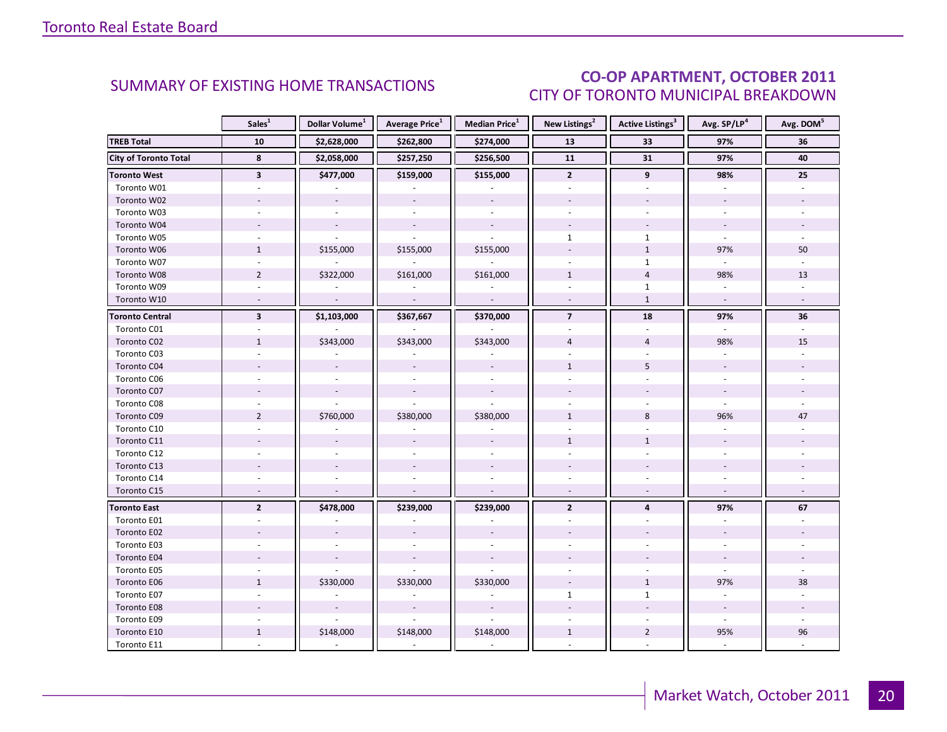### CO-OP APARTMENT, OCTOBER 2011 CITY OF TORONTO MUNICIPAL BREAKDOWN

<span id="page-19-0"></span>

|                              | Sales <sup>1</sup>       | Dollar Volume <sup>1</sup> | <b>Average Price</b> <sup>1</sup> | <b>Median Price</b> <sup>1</sup> | New Listings <sup>2</sup> | Active Listings <sup>3</sup> | Avg. SP/LP <sup>4</sup>  | Avg. DOM <sup>5</sup> |
|------------------------------|--------------------------|----------------------------|-----------------------------------|----------------------------------|---------------------------|------------------------------|--------------------------|-----------------------|
| <b>TREB Total</b>            | 10                       | \$2,628,000                | \$262,800                         | \$274,000                        | 13                        | 33                           | 97%                      | 36                    |
| <b>City of Toronto Total</b> | 8                        | \$2,058,000                | \$257,250                         | \$256,500                        | 11                        | 31                           | 97%                      | 40                    |
| Toronto West                 | $\overline{\mathbf{3}}$  | \$477,000                  | \$159,000                         | \$155,000                        | $\overline{2}$            | 9                            | 98%                      | 25                    |
| Toronto W01                  |                          |                            |                                   |                                  |                           |                              |                          |                       |
| Toronto W02                  |                          |                            |                                   |                                  |                           |                              |                          |                       |
| Toronto W03                  | $\sim$                   |                            | $\omega$                          | $\mathcal{L}$                    |                           | $\overline{a}$               | ÷.                       |                       |
| Toronto W04                  |                          |                            | $\blacksquare$                    |                                  |                           |                              | $\overline{\phantom{a}}$ |                       |
| Toronto W05                  |                          |                            |                                   |                                  | $\mathbf{1}$              | $\mathbf{1}$                 |                          |                       |
| Toronto W06                  | $\mathbf{1}$             | \$155,000                  | \$155,000                         | \$155,000                        |                           | $\mathbf{1}$                 | 97%                      | 50                    |
| Toronto W07                  | $\sim$                   |                            | $\overline{\phantom{a}}$          | ÷.                               |                           | $\mathbf{1}$                 | $\omega$                 |                       |
| Toronto W08                  | $\overline{2}$           | \$322,000                  | \$161,000                         | \$161,000                        | $\mathbf{1}$              | $\overline{4}$               | 98%                      | 13                    |
| Toronto W09                  |                          |                            |                                   |                                  |                           | $\mathbf{1}$                 |                          |                       |
| Toronto W10                  | $\sim$                   | $\mathbb{L}$               | $\mathcal{L}$                     | $\mathcal{L}$                    | $\sim$                    | $\mathbf{1}$                 | $\omega$                 | $\sim$                |
| <b>Toronto Central</b>       | $\overline{\mathbf{3}}$  | \$1,103,000                | \$367,667                         | \$370,000                        | $\overline{7}$            | 18                           | 97%                      | 36                    |
| Toronto C01                  |                          |                            |                                   |                                  |                           |                              |                          |                       |
| Toronto C02                  | $\mathbf{1}$             | \$343,000                  | \$343,000                         | \$343,000                        | $\overline{4}$            | $\overline{4}$               | 98%                      | 15                    |
| Toronto C03                  | $\sim$                   |                            |                                   |                                  |                           |                              |                          |                       |
| Toronto C04                  |                          |                            |                                   |                                  | $\mathbf{1}$              | 5                            |                          |                       |
| Toronto C06                  |                          |                            |                                   |                                  |                           |                              |                          |                       |
| Toronto C07                  |                          |                            |                                   |                                  |                           |                              |                          |                       |
| Toronto C08                  |                          |                            |                                   |                                  |                           |                              |                          |                       |
| Toronto C09                  | $\overline{2}$           | \$760,000                  | \$380,000                         | \$380,000                        | $\mathbf{1}$              | 8                            | 96%                      | 47                    |
| Toronto C10                  |                          |                            |                                   |                                  |                           |                              |                          |                       |
| Toronto C11                  |                          |                            |                                   |                                  | $\mathbf{1}$              | $\mathbf{1}$                 |                          |                       |
| Toronto C12                  |                          |                            |                                   |                                  |                           |                              |                          |                       |
| Toronto C13                  |                          |                            |                                   |                                  |                           |                              |                          |                       |
| Toronto C14                  |                          |                            |                                   |                                  |                           |                              |                          |                       |
| Toronto C15                  | $\overline{\phantom{a}}$ |                            | $\overline{\phantom{a}}$          |                                  |                           |                              | $\overline{\phantom{a}}$ |                       |
| <b>Toronto East</b>          | $\overline{2}$           | \$478,000                  | \$239,000                         | \$239,000                        | $\overline{2}$            | $\overline{4}$               | 97%                      | 67                    |
| Toronto E01                  |                          |                            |                                   |                                  |                           |                              |                          |                       |
| Toronto E02                  |                          |                            |                                   |                                  |                           |                              |                          |                       |
| Toronto E03                  |                          |                            |                                   |                                  |                           |                              |                          |                       |
| Toronto E04                  |                          |                            | $\overline{\phantom{a}}$          |                                  |                           |                              | $\overline{\phantom{a}}$ |                       |
| Toronto E05                  | $\overline{a}$           |                            |                                   |                                  |                           |                              | $\mathbf{r}$             |                       |
| Toronto E06                  | $\mathbf{1}$             | \$330,000                  | \$330,000                         | \$330,000                        |                           | $\mathbf{1}$                 | 97%                      | 38                    |
| Toronto E07                  |                          |                            |                                   |                                  | $\mathbf{1}$              | $\mathbf{1}$                 |                          |                       |
| Toronto E08                  |                          |                            |                                   |                                  |                           |                              |                          |                       |
| Toronto E09                  |                          |                            |                                   |                                  |                           |                              | ÷.                       |                       |
| Toronto E10                  | $\mathbf{1}$             | \$148,000                  | \$148,000                         | \$148,000                        | $\mathbf{1}$              | $\overline{2}$               | 95%                      | 96                    |
| Toronto E11                  |                          |                            |                                   |                                  |                           |                              |                          |                       |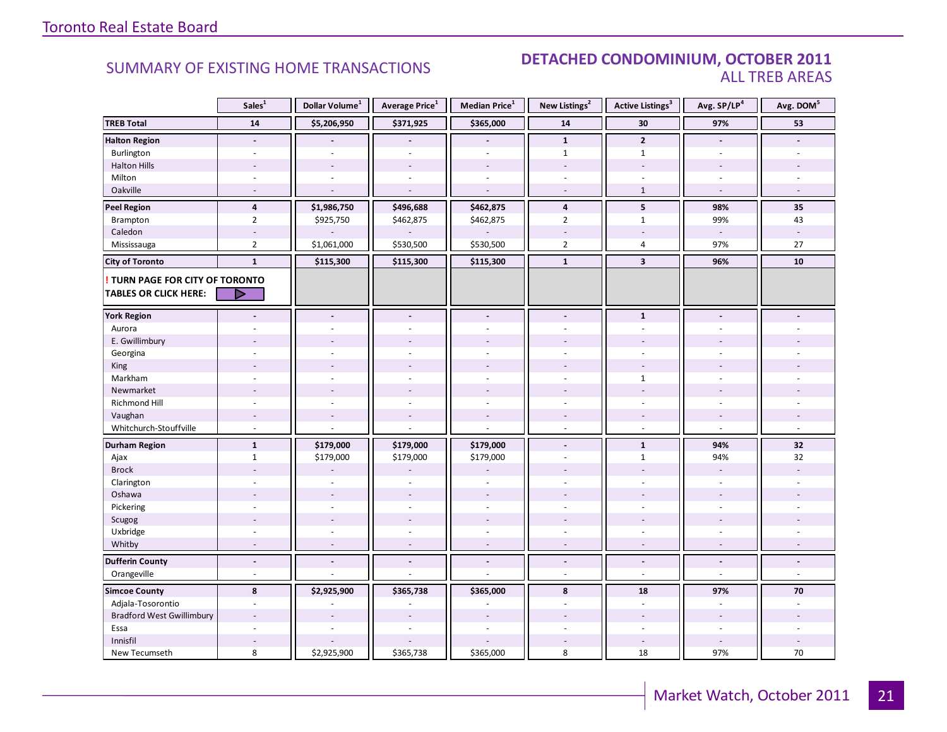### SUMMARY OF EXISTING HOME TRANSACTIONS **DETACHED CONDOMINIUM, OCTOBER 2011** ALL TREB AREAS

|                                        | Sales <sup>1</sup>       | Dollar Volume <sup>1</sup> | Average Price <sup>1</sup> | Median Price <sup>1</sup> | New Listings <sup>2</sup> | <b>Active Listings<sup>3</sup></b> | Avg. SP/LP <sup>4</sup>  | Avg. DOM <sup>5</sup> |
|----------------------------------------|--------------------------|----------------------------|----------------------------|---------------------------|---------------------------|------------------------------------|--------------------------|-----------------------|
| <b>TREB Total</b>                      | 14                       | \$5,206,950                | \$371,925                  | \$365,000                 | 14                        | 30                                 | 97%                      | 53                    |
| <b>Halton Region</b>                   | $\overline{\phantom{a}}$ |                            |                            |                           | $\mathbf{1}$              | $\overline{2}$                     |                          |                       |
| Burlington                             | ä,                       | $\overline{a}$             |                            | ä,                        | $\mathbf{1}$              | $\mathbf{1}$                       | $\sim$                   |                       |
| <b>Halton Hills</b>                    |                          |                            |                            |                           |                           |                                    |                          |                       |
| Milton                                 | ä,                       | ÷.                         |                            | ÷.                        |                           |                                    | $\sim$                   |                       |
| Oakville                               | $\sim$                   | $\overline{a}$             |                            |                           |                           | $\mathbf{1}$                       | $\overline{\phantom{a}}$ |                       |
| <b>Peel Region</b>                     | $\overline{4}$           | \$1,986,750                | \$496,688                  | \$462,875                 | 4                         | $5\phantom{.0}$                    | 98%                      | 35                    |
| Brampton                               | $\overline{2}$           | \$925,750                  | \$462,875                  | \$462,875                 | $\overline{2}$            | $\mathbf{1}$                       | 99%                      | 43                    |
| Caledon                                |                          |                            |                            |                           |                           |                                    | $\sim$                   |                       |
| Mississauga                            | $\overline{2}$           | \$1,061,000                | \$530,500                  | \$530,500                 | $\overline{2}$            | $\overline{4}$                     | 97%                      | $27\,$                |
| <b>City of Toronto</b>                 | $\mathbf{1}$             | \$115,300                  | \$115,300                  | \$115,300                 | $\mathbf{1}$              | $\overline{\mathbf{3}}$            | 96%                      | 10                    |
| <b>! TURN PAGE FOR CITY OF TORONTO</b> |                          |                            |                            |                           |                           |                                    |                          |                       |
| <b>TABLES OR CLICK HERE:</b>           | ▷                        |                            |                            |                           |                           |                                    |                          |                       |
| <b>York Region</b>                     |                          |                            |                            | $\overline{a}$            |                           | $\mathbf{1}$                       |                          |                       |
| Aurora                                 |                          |                            |                            |                           |                           |                                    |                          |                       |
| E. Gwillimbury                         |                          |                            |                            |                           |                           |                                    |                          |                       |
| Georgina                               |                          |                            |                            |                           |                           |                                    |                          |                       |
| King                                   |                          |                            |                            |                           |                           |                                    |                          |                       |
| Markham                                | ä,                       | $\overline{a}$             |                            | $\sim$                    |                           | 1                                  | $\overline{a}$           |                       |
| Newmarket                              |                          |                            |                            |                           |                           |                                    |                          |                       |
| Richmond Hill                          |                          |                            |                            |                           |                           |                                    |                          |                       |
| Vaughan                                | $\overline{a}$           | $\overline{a}$             | $\overline{a}$             | $\overline{a}$            | $\sim$                    | $\overline{a}$                     | $\overline{a}$           |                       |
| Whitchurch-Stouffville                 | $\sim$                   |                            |                            |                           | $\sim$                    | $\overline{\phantom{a}}$           | $\sim$                   |                       |
| <b>Durham Region</b>                   | $\mathbf{1}$             | \$179,000                  | \$179,000                  | \$179,000                 |                           | $\mathbf{1}$                       | 94%                      | 32                    |
| Ajax                                   | $\mathbf{1}$             | \$179,000                  | \$179,000                  | \$179,000                 | $\sim$                    | $\mathbf{1}$                       | 94%                      | 32                    |
| <b>Brock</b>                           |                          |                            |                            |                           |                           |                                    | $\overline{\phantom{a}}$ |                       |
| Clarington                             |                          |                            |                            |                           |                           |                                    |                          |                       |
| Oshawa                                 |                          | $\overline{\phantom{a}}$   |                            |                           |                           |                                    |                          |                       |
| Pickering                              | ÷.                       | ÷.                         | $\sim$                     | $\overline{\phantom{a}}$  | $\sim$                    | ÷.                                 | $\sim$                   |                       |
| Scugog                                 |                          |                            |                            |                           |                           |                                    |                          |                       |
| Uxbridge                               |                          |                            |                            |                           |                           |                                    |                          |                       |
| Whitby                                 |                          |                            |                            |                           |                           |                                    |                          |                       |
| <b>Dufferin County</b>                 | $\overline{\phantom{a}}$ | $\overline{\phantom{a}}$   | $\blacksquare$             | $\overline{a}$            | $\blacksquare$            | $\blacksquare$                     | $\frac{1}{2}$            |                       |
| Orangeville                            | L.                       |                            |                            |                           | $\overline{a}$            | ÷,                                 | ÷,                       | $\overline{a}$        |
| <b>Simcoe County</b>                   | 8                        | \$2,925,900                | \$365,738                  | \$365,000                 | 8                         | 18                                 | 97%                      | 70                    |
| Adjala-Tosorontio                      |                          |                            |                            |                           |                           | ä,                                 |                          |                       |
| <b>Bradford West Gwillimbury</b>       | ÷                        |                            |                            |                           |                           |                                    | $\sim$                   |                       |
| Essa                                   | ÷.                       | L.                         |                            | L.                        |                           | $\sim$                             | $\sim$                   |                       |
| Innisfil                               |                          |                            |                            |                           |                           | $\sim$                             | $\overline{a}$           |                       |
| New Tecumseth                          | 8                        | \$2,925,900                | \$365,738                  | \$365,000                 | 8                         | 18                                 | 97%                      | $70\,$                |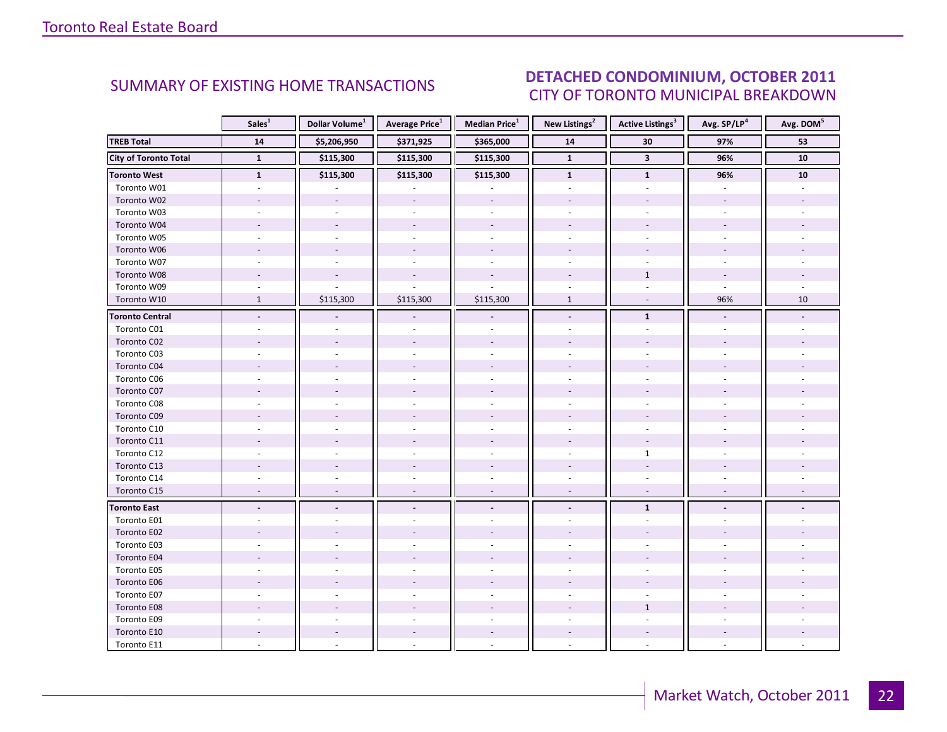### OCTORER 2011 CITY OF TORONTO MUNICIPAL BREAKDOWN SUMMARY OF EXISTING HOME TRANSACTIONS **DETACHED CONDOMINIUM, OCTOBER 2011**

<span id="page-21-0"></span>

|                              | Sales <sup>1</sup>       | Dollar Volume <sup>1</sup> | <b>Average Price</b> <sup>1</sup> | <b>Median Price</b> <sup>1</sup> | New Listings <sup>2</sup> | <b>Active Listings</b> <sup>3</sup> | Avg. SP/LP <sup>4</sup> | Avg. DOM <sup>5</sup> |
|------------------------------|--------------------------|----------------------------|-----------------------------------|----------------------------------|---------------------------|-------------------------------------|-------------------------|-----------------------|
| <b>TREB Total</b>            | 14                       | \$5,206,950                | \$371,925                         | \$365,000                        | 14                        | 30                                  | 97%                     | 53                    |
| <b>City of Toronto Total</b> | $\mathbf{1}$             | \$115,300                  | \$115,300                         | \$115,300                        | $\overline{1}$            | $\mathbf{3}$                        | 96%                     | ${\bf 10}$            |
| <b>Toronto West</b>          | $\mathbf{1}$             | \$115,300                  | \$115,300                         | \$115,300                        | $\mathbf{1}$              | $\mathbf{1}$                        | 96%                     | 10                    |
| Toronto W01                  |                          |                            |                                   |                                  |                           |                                     |                         |                       |
| Toronto W02                  |                          |                            |                                   |                                  |                           |                                     |                         |                       |
| Toronto W03                  | $\sim$                   | $\sim$                     | ÷.                                | $\omega$                         | ÷.                        | $\mathbf{r}$                        | $\overline{a}$          |                       |
| Toronto W04                  |                          |                            |                                   |                                  |                           |                                     |                         |                       |
| Toronto W05                  |                          |                            |                                   |                                  |                           |                                     |                         |                       |
| Toronto W06                  |                          |                            |                                   |                                  |                           |                                     |                         |                       |
| Toronto W07                  |                          |                            |                                   |                                  |                           |                                     |                         |                       |
| Toronto W08                  |                          |                            |                                   |                                  |                           | $\mathbf{1}$                        |                         |                       |
| Toronto W09                  |                          |                            |                                   |                                  |                           |                                     |                         |                       |
| Toronto W10                  | $\mathbf{1}$             | \$115,300                  | \$115,300                         | \$115,300                        | $\mathbf{1}$              | $\omega$                            | 96%                     | 10                    |
| <b>Toronto Central</b>       |                          |                            |                                   |                                  | $\blacksquare$            | $\mathbf{1}$                        |                         |                       |
| Toronto C01                  |                          |                            |                                   |                                  |                           |                                     |                         |                       |
| Toronto C02                  |                          |                            |                                   |                                  |                           |                                     |                         |                       |
| Toronto C03                  |                          |                            |                                   |                                  |                           |                                     |                         |                       |
| Toronto C04                  |                          |                            |                                   |                                  |                           |                                     |                         |                       |
| Toronto C06                  |                          |                            |                                   |                                  |                           |                                     |                         |                       |
| Toronto C07                  |                          |                            |                                   |                                  |                           |                                     |                         |                       |
| Toronto C08                  |                          |                            |                                   |                                  |                           |                                     |                         |                       |
| Toronto C09                  |                          |                            |                                   |                                  |                           |                                     |                         |                       |
| Toronto C10                  |                          |                            |                                   |                                  |                           |                                     |                         |                       |
| Toronto C11                  |                          |                            |                                   |                                  |                           |                                     |                         |                       |
| Toronto C12                  |                          |                            |                                   |                                  |                           | $\mathbf{1}$                        |                         |                       |
| Toronto C13                  |                          |                            |                                   |                                  |                           |                                     |                         |                       |
| Toronto C14                  |                          |                            |                                   |                                  |                           |                                     |                         |                       |
| Toronto C15                  | $\overline{\phantom{a}}$ |                            | $\sim$                            | $\sim$                           | $\overline{\phantom{a}}$  | $\sim$                              |                         |                       |
| <b>Toronto East</b>          |                          |                            |                                   |                                  |                           | $\mathbf{1}$                        |                         |                       |
| Toronto E01                  |                          |                            |                                   |                                  |                           |                                     |                         |                       |
| Toronto E02                  |                          |                            |                                   |                                  |                           |                                     |                         |                       |
| Toronto E03                  |                          |                            |                                   |                                  |                           |                                     |                         |                       |
| Toronto E04                  |                          |                            |                                   |                                  |                           |                                     |                         |                       |
| Toronto E05                  |                          |                            |                                   |                                  |                           |                                     |                         |                       |
| Toronto E06                  |                          |                            |                                   |                                  |                           |                                     |                         |                       |
| Toronto E07                  |                          |                            |                                   |                                  |                           |                                     |                         |                       |
| Toronto E08                  |                          |                            |                                   |                                  |                           | $\mathbf{1}$                        |                         |                       |
| Toronto E09                  |                          |                            |                                   |                                  |                           |                                     |                         |                       |
| Toronto E10                  |                          |                            |                                   |                                  |                           |                                     |                         |                       |
| Toronto E11                  |                          |                            |                                   |                                  |                           |                                     |                         |                       |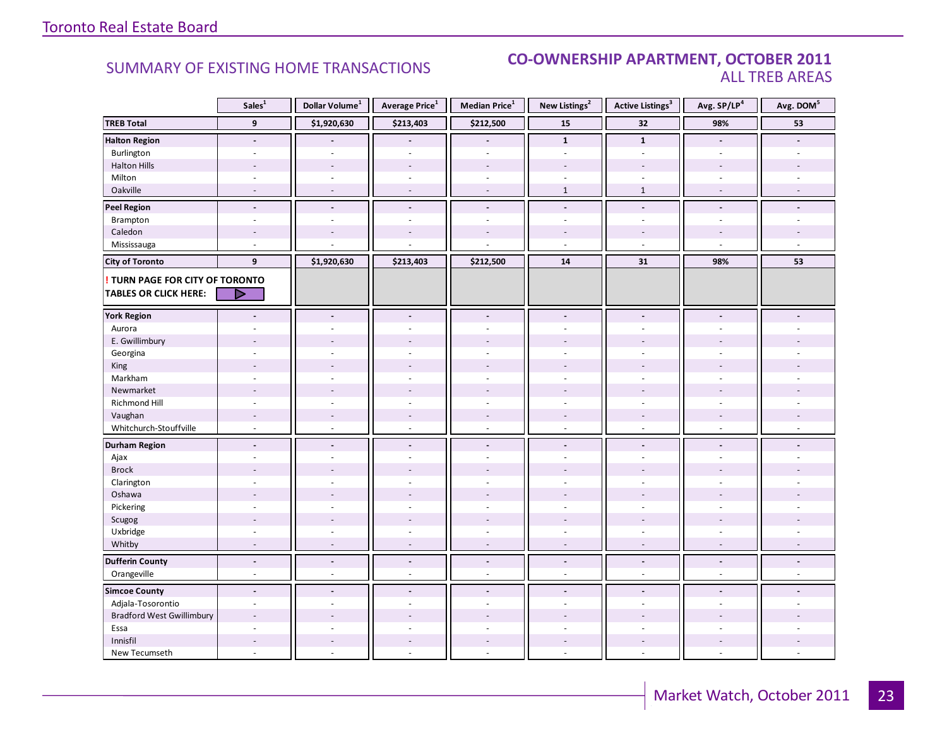### SUMMARY OF EXISTING HOME TRANSACTIONS **CO-OWNERSHIP APARTMENT, OCTOBER 2011** ALL TREB AREAS

|                                  | Sales <sup>1</sup>       | Dollar Volume <sup>1</sup> | Average Price <sup>1</sup> | Median Price <sup>1</sup> | New Listings <sup>2</sup> | <b>Active Listings<sup>3</sup></b> | Avg. SP/LP <sup>4</sup>  | Avg. DOM <sup>5</sup> |
|----------------------------------|--------------------------|----------------------------|----------------------------|---------------------------|---------------------------|------------------------------------|--------------------------|-----------------------|
| <b>TREB Total</b>                | $\overline{9}$           | \$1,920,630                | \$213,403                  | \$212,500                 | 15                        | 32                                 | 98%                      | 53                    |
| <b>Halton Region</b>             | $\blacksquare$           |                            |                            |                           | $\mathbf{1}$              | $\mathbf{1}$                       | $\blacksquare$           |                       |
| Burlington                       | $\blacksquare$           | $\sim$                     | $\sim$                     | ä,                        | $\omega$                  | $\omega$                           | $\sim$                   |                       |
| <b>Halton Hills</b>              |                          |                            |                            | $\overline{a}$            |                           |                                    |                          |                       |
| Milton                           |                          |                            |                            |                           |                           |                                    |                          |                       |
| Oakville                         |                          |                            |                            | $\overline{a}$            | $1\,$                     | $\mathbf{1}$                       |                          |                       |
| <b>Peel Region</b>               | $\overline{a}$           | $\blacksquare$             | $\overline{a}$             | $\overline{a}$            | $\overline{a}$            | $\overline{a}$                     | $\overline{a}$           |                       |
| Brampton                         | ÷                        | $\sim$                     | $\overline{a}$             | ÷.                        | $\sim$                    | $\sim$                             | $\overline{a}$           |                       |
| Caledon                          | $\overline{\phantom{a}}$ |                            |                            |                           |                           |                                    |                          |                       |
| Mississauga                      | ÷.                       |                            |                            |                           | $\overline{a}$            | $\sim$                             | $\overline{a}$           |                       |
| <b>City of Toronto</b>           | 9                        | \$1,920,630                | \$213,403                  | \$212,500                 | ${\bf 14}$                | 31                                 | 98%                      | 53                    |
| ! TURN PAGE FOR CITY OF TORONTO  |                          |                            |                            |                           |                           |                                    |                          |                       |
| <b>TABLES OR CLICK HERE:</b>     | ▶                        |                            |                            |                           |                           |                                    |                          |                       |
| <b>York Region</b>               |                          | $\overline{a}$             |                            | $\overline{\phantom{a}}$  |                           |                                    |                          |                       |
| Aurora                           |                          |                            |                            |                           |                           |                                    |                          |                       |
| E. Gwillimbury                   |                          |                            |                            |                           |                           |                                    |                          |                       |
| Georgina                         |                          |                            |                            |                           |                           |                                    |                          |                       |
| King                             |                          |                            |                            |                           |                           |                                    |                          |                       |
| Markham                          | ä,                       |                            |                            | ä,                        | ÷.                        | $\overline{a}$                     |                          |                       |
| Newmarket                        |                          |                            |                            |                           |                           |                                    |                          |                       |
| Richmond Hill                    | ÷                        |                            |                            |                           |                           |                                    |                          |                       |
| Vaughan                          | $\overline{\phantom{a}}$ | $\sim$                     | $\sim$                     | $\overline{a}$            | $\sim$                    | $\sim$                             | $\overline{\phantom{a}}$ |                       |
| Whitchurch-Stouffville           | $\overline{\phantom{a}}$ | $\sim$                     | $\sim$                     | ÷,                        | $\sim$                    | ÷.                                 | $\sim$                   |                       |
| <b>Durham Region</b>             | $\overline{a}$           |                            |                            | $\overline{a}$            |                           | $\overline{a}$                     |                          |                       |
| Ajax                             | ٠                        |                            |                            | ÷.                        | $\overline{a}$            | ÷                                  | $\sim$                   |                       |
| <b>Brock</b>                     |                          |                            |                            |                           |                           |                                    |                          |                       |
| Clarington                       |                          |                            |                            |                           |                           |                                    |                          |                       |
| Oshawa                           |                          |                            |                            |                           |                           |                                    |                          |                       |
| Pickering                        | $\overline{\phantom{a}}$ |                            |                            | ä,                        | ÷                         | $\sim$                             |                          |                       |
| Scugog                           |                          |                            |                            |                           |                           |                                    |                          |                       |
| Uxbridge                         |                          |                            |                            |                           |                           |                                    |                          |                       |
| Whitby                           |                          |                            |                            |                           |                           |                                    |                          |                       |
| <b>Dufferin County</b>           | $\blacksquare$           | $\blacksquare$             | $\overline{\phantom{a}}$   | $\frac{1}{2}$             | $\blacksquare$            | $\tilde{\phantom{a}}$              | $\overline{a}$           |                       |
| Orangeville                      | ÷,                       | $\overline{a}$             | $\bar{a}$                  | ä,                        | $\sim$                    | $\sim$                             | $\overline{a}$           |                       |
| <b>Simcoe County</b>             | $\blacksquare$           | $\sim$                     | $\overline{a}$             | $\overline{a}$            | $\sim$                    | $\overline{\phantom{a}}$           | $\blacksquare$           |                       |
| Adjala-Tosorontio                |                          |                            |                            |                           |                           |                                    |                          |                       |
| <b>Bradford West Gwillimbury</b> | $\overline{a}$           |                            |                            |                           |                           |                                    |                          |                       |
| Essa                             | $\overline{\phantom{a}}$ |                            |                            | ä,                        |                           | ÷.                                 | ÷                        |                       |
| Innisfil                         |                          |                            |                            | $\overline{a}$            |                           |                                    |                          |                       |
| New Tecumseth                    |                          |                            |                            |                           |                           |                                    |                          |                       |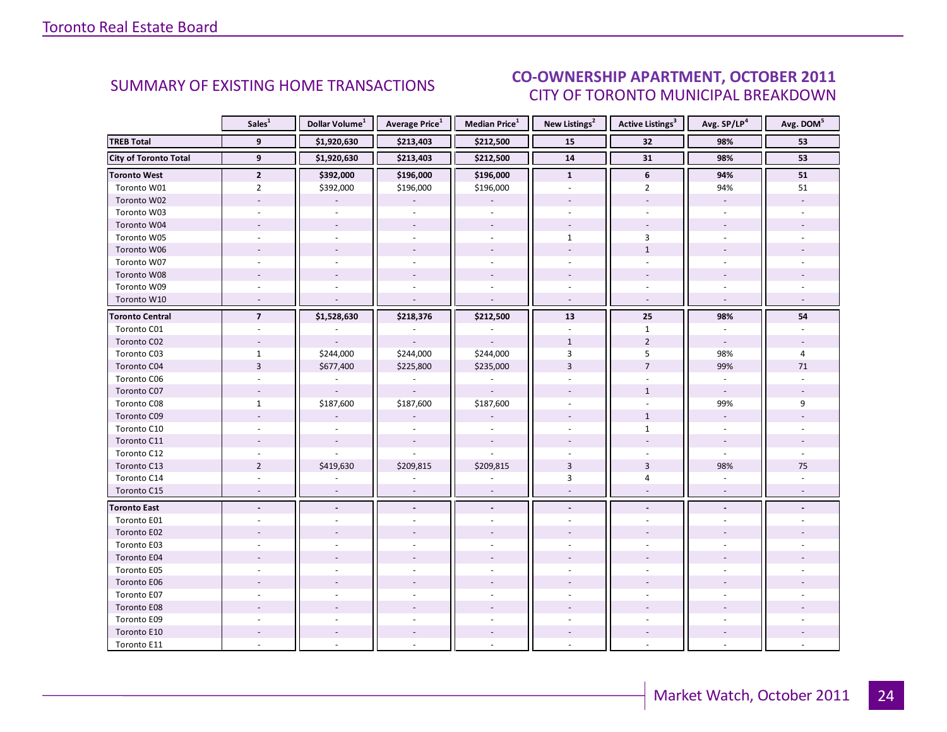### OCTORER 2011 CITY OF TORONTO MUNICIPAL BREAKDOWN SUMMARY OF EXISTING HOME TRANSACTIONS<br>CITY OF TOPONTO MUNICIPAL PREAKDOMAL

<span id="page-23-0"></span>

|                              | Sales <sup>1</sup>       | Dollar Volume <sup>1</sup> | <b>Average Price</b> <sup>1</sup> | <b>Median Price</b> <sup>1</sup> | New Listings <sup>2</sup> | <b>Active Listings<sup>3</sup></b> | Avg. SP/LP4              | Avg. DOM <sup>5</sup> |
|------------------------------|--------------------------|----------------------------|-----------------------------------|----------------------------------|---------------------------|------------------------------------|--------------------------|-----------------------|
| <b>TREB Total</b>            | 9                        | \$1,920,630                | \$213,403                         | \$212,500                        | 15                        | 32                                 | 98%                      | 53                    |
| <b>City of Toronto Total</b> | $\overline{9}$           | \$1,920,630                | \$213,403                         | \$212,500                        | ${\bf 14}$                | 31                                 | 98%                      | 53                    |
| <b>Toronto West</b>          | $\overline{2}$           | \$392,000                  | \$196,000                         | \$196,000                        | $\mathbf{1}$              | 6                                  | 94%                      | 51                    |
| Toronto W01                  | $\overline{2}$           | \$392,000                  | \$196,000                         | \$196,000                        |                           | $\overline{2}$                     | 94%                      | 51                    |
| Toronto W02                  | $\overline{\phantom{a}}$ |                            |                                   |                                  |                           | $\overline{\phantom{a}}$           | $\overline{\phantom{a}}$ |                       |
| Toronto W03                  | $\omega$                 | $\sim$                     | $\omega$                          | $\omega$                         |                           | $\sim$                             | $\omega$                 |                       |
| Toronto W04                  |                          |                            |                                   |                                  |                           |                                    |                          |                       |
| Toronto W05                  |                          |                            |                                   |                                  | $\mathbf{1}$              | 3                                  |                          |                       |
| Toronto W06                  |                          | $\sim$                     | $\sim$                            | $\sim$                           |                           | $\mathbf{1}$                       |                          |                       |
| Toronto W07                  | ÷.                       |                            |                                   |                                  | ÷.                        | ÷.                                 |                          |                       |
| Toronto W08                  |                          |                            |                                   |                                  |                           |                                    |                          |                       |
| Toronto W09                  |                          |                            |                                   |                                  |                           |                                    |                          |                       |
| Toronto W10                  | $\sim$                   |                            |                                   | $\mathcal{L}$                    | $\omega$                  | $\omega$                           | $\sim$                   |                       |
| <b>Toronto Central</b>       | $\overline{7}$           | \$1,528,630                | \$218,376                         | \$212,500                        | 13                        | 25                                 | 98%                      | 54                    |
| Toronto C01                  |                          |                            |                                   |                                  |                           | $\mathbf{1}$                       |                          |                       |
| Toronto C02                  |                          |                            |                                   |                                  | $\mathbf{1}$              | $\overline{2}$                     | $\overline{\phantom{a}}$ |                       |
| Toronto C03                  | $\mathbf{1}$             | \$244,000                  | \$244,000                         | \$244,000                        | 3                         | 5                                  | 98%                      | 4                     |
| Toronto C04                  | $\overline{3}$           | \$677,400                  | \$225,800                         | \$235,000                        | $\overline{3}$            | $\overline{7}$                     | 99%                      | 71                    |
| Toronto C06                  |                          |                            |                                   |                                  |                           |                                    |                          |                       |
| Toronto C07                  |                          |                            |                                   |                                  |                           | $\mathbf{1}$                       | $\omega$                 |                       |
| Toronto C08                  | $\mathbf{1}$             | \$187,600                  | \$187,600                         | \$187,600                        |                           |                                    | 99%                      | 9                     |
| Toronto C09                  |                          |                            |                                   |                                  |                           | $\mathbf{1}$                       |                          |                       |
| Toronto C10                  |                          |                            |                                   |                                  |                           | $\mathbf{1}$                       |                          |                       |
| Toronto C11                  |                          |                            |                                   |                                  |                           |                                    |                          |                       |
| Toronto C12                  |                          |                            |                                   |                                  |                           |                                    | $\sim$                   |                       |
| Toronto C13                  | $\overline{2}$           | \$419,630                  | \$209,815                         | \$209,815                        | $\overline{3}$            | 3                                  | 98%                      | 75                    |
| Toronto C14                  |                          |                            |                                   |                                  | 3                         | 4                                  |                          |                       |
| Toronto C15                  |                          |                            | $\overline{a}$                    | $\overline{\phantom{a}}$         |                           | $\overline{\phantom{a}}$           |                          |                       |
| <b>Toronto East</b>          | $\blacksquare$           | $\blacksquare$             | $\overline{a}$                    | $\Box$                           |                           | $\blacksquare$                     | $\blacksquare$           |                       |
| Toronto E01                  |                          |                            |                                   |                                  |                           |                                    |                          |                       |
| Toronto E02                  |                          |                            |                                   |                                  |                           |                                    |                          |                       |
| Toronto E03                  |                          |                            |                                   |                                  |                           |                                    |                          |                       |
| Toronto E04                  |                          |                            |                                   |                                  |                           |                                    |                          |                       |
| Toronto E05                  | $\sim$                   |                            |                                   |                                  |                           |                                    |                          |                       |
| Toronto E06                  |                          |                            |                                   |                                  |                           |                                    |                          |                       |
| Toronto E07                  |                          |                            |                                   |                                  |                           |                                    |                          |                       |
| Toronto E08                  |                          |                            |                                   |                                  |                           |                                    |                          |                       |
| Toronto E09                  |                          |                            |                                   |                                  |                           |                                    |                          |                       |
| Toronto E10                  |                          |                            |                                   |                                  |                           |                                    |                          |                       |
| Toronto E11                  |                          |                            |                                   |                                  |                           |                                    |                          |                       |